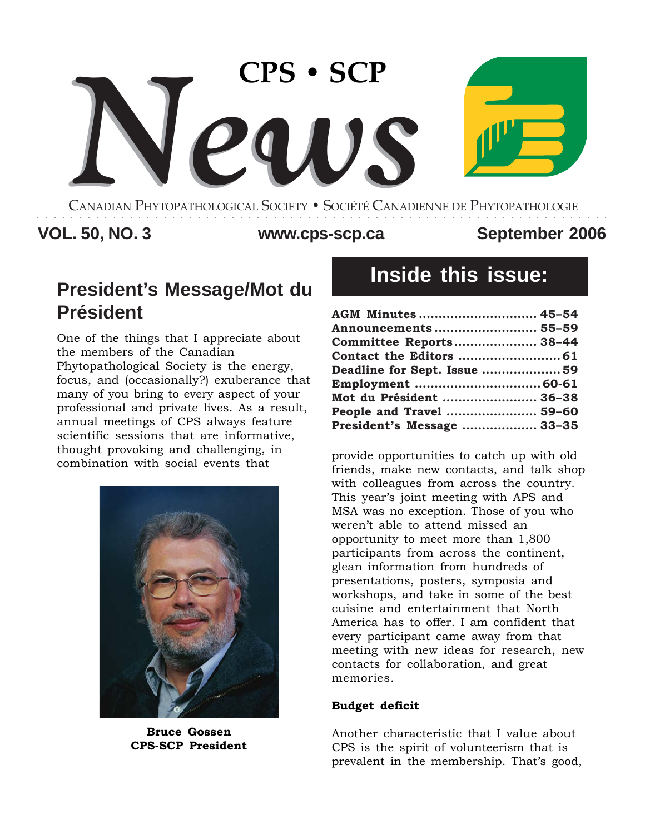

CANADIAN PHYTOPATHOLOGICAL SOCIETY **•** SOCIÉTÉ CANADIENNE DE PHYTOPATHOLOGIE ○○○○○○○○○○○○○○○○○○○○○○○○○○○○○○○○○○○○○○○○○○○○○○○○○○○○○○○○○○○○○○○○○○○○

### VOL. 50, NO. 3 WWW.cps-scp.ca September 2006

# **President's Message/Mot du Président**

One of the things that I appreciate about the members of the Canadian Phytopathological Society is the energy, focus, and (occasionally?) exuberance that many of you bring to every aspect of your professional and private lives. As a result, annual meetings of CPS always feature scientific sessions that are informative, thought provoking and challenging, in combination with social events that  $\epsilon$  provide opportunities to catch up with old



**Bruce Gossen CPS-SCP President**

# **Inside this issue:**

| AGM Minutes  45-54          |  |
|-----------------------------|--|
| Announcements  55–59        |  |
| Committee Reports 38-44     |  |
|                             |  |
| Deadline for Sept. Issue 59 |  |
|                             |  |
| Mot du Président  36-38     |  |
| People and Travel  59–60    |  |
| President's Message  33-35  |  |

friends, make new contacts, and talk shop with colleagues from across the country. This year's joint meeting with APS and MSA was no exception. Those of you who weren't able to attend missed an opportunity to meet more than 1,800 participants from across the continent, glean information from hundreds of presentations, posters, symposia and workshops, and take in some of the best cuisine and entertainment that North America has to offer. I am confident that every participant came away from that meeting with new ideas for research, new contacts for collaboration, and great memories.

#### **Budget deficit**

Another characteristic that I value about CPS is the spirit of volunteerism that is prevalent in the membership. That's good,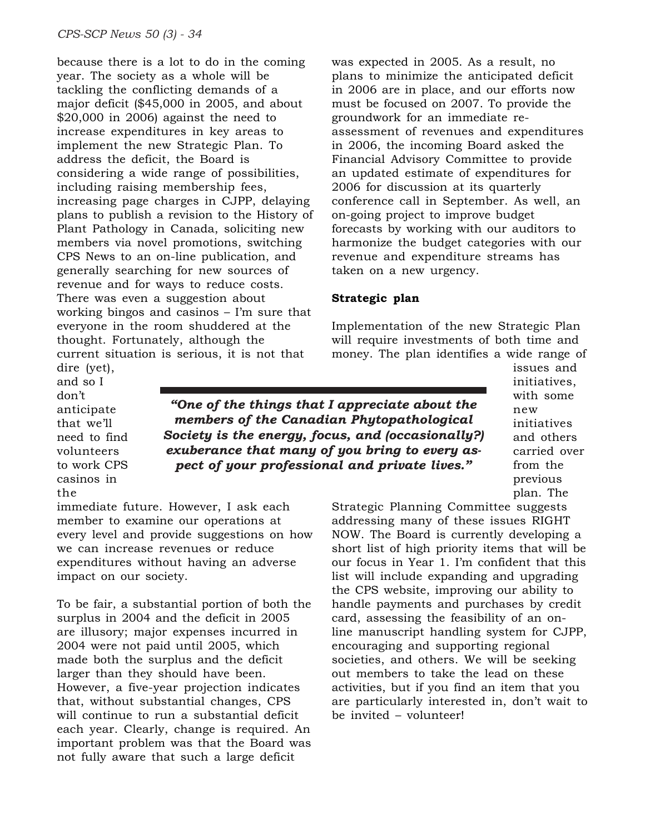because there is a lot to do in the coming year. The society as a whole will be tackling the conflicting demands of a major deficit (\$45,000 in 2005, and about \$20,000 in 2006) against the need to increase expenditures in key areas to implement the new Strategic Plan. To address the deficit, the Board is considering a wide range of possibilities, including raising membership fees, increasing page charges in CJPP, delaying plans to publish a revision to the History of Plant Pathology in Canada, soliciting new members via novel promotions, switching CPS News to an on-line publication, and generally searching for new sources of revenue and for ways to reduce costs. There was even a suggestion about working bingos and casinos – I'm sure that everyone in the room shuddered at the thought. Fortunately, although the current situation is serious, it is not that

was expected in 2005. As a result, no plans to minimize the anticipated deficit in 2006 are in place, and our efforts now must be focused on 2007. To provide the groundwork for an immediate reassessment of revenues and expenditures in 2006, the incoming Board asked the Financial Advisory Committee to provide an updated estimate of expenditures for 2006 for discussion at its quarterly conference call in September. As well, an on-going project to improve budget forecasts by working with our auditors to harmonize the budget categories with our revenue and expenditure streams has taken on a new urgency.

#### **Strategic plan**

Implementation of the new Strategic Plan will require investments of both time and money. The plan identifies a wide range of

dire (yet), and so I don't anticipate that we'll need to find volunteers to work CPS casinos in the

*"One of the things that I appreciate about the members of the Canadian Phytopathological Society is the energy, focus, and (occasionally?) exuberance that many of you bring to every aspect of your professional and private lives."*

issues and initiatives, with some new initiatives and others carried over from the previous plan. The

immediate future. However, I ask each member to examine our operations at every level and provide suggestions on how we can increase revenues or reduce expenditures without having an adverse impact on our society.

To be fair, a substantial portion of both the surplus in 2004 and the deficit in 2005 are illusory; major expenses incurred in 2004 were not paid until 2005, which made both the surplus and the deficit larger than they should have been. However, a five-year projection indicates that, without substantial changes, CPS will continue to run a substantial deficit each year. Clearly, change is required. An important problem was that the Board was not fully aware that such a large deficit

Strategic Planning Committee suggests addressing many of these issues RIGHT NOW. The Board is currently developing a short list of high priority items that will be our focus in Year 1. I'm confident that this list will include expanding and upgrading the CPS website, improving our ability to handle payments and purchases by credit card, assessing the feasibility of an online manuscript handling system for CJPP, encouraging and supporting regional societies, and others. We will be seeking out members to take the lead on these activities, but if you find an item that you are particularly interested in, don't wait to be invited – volunteer!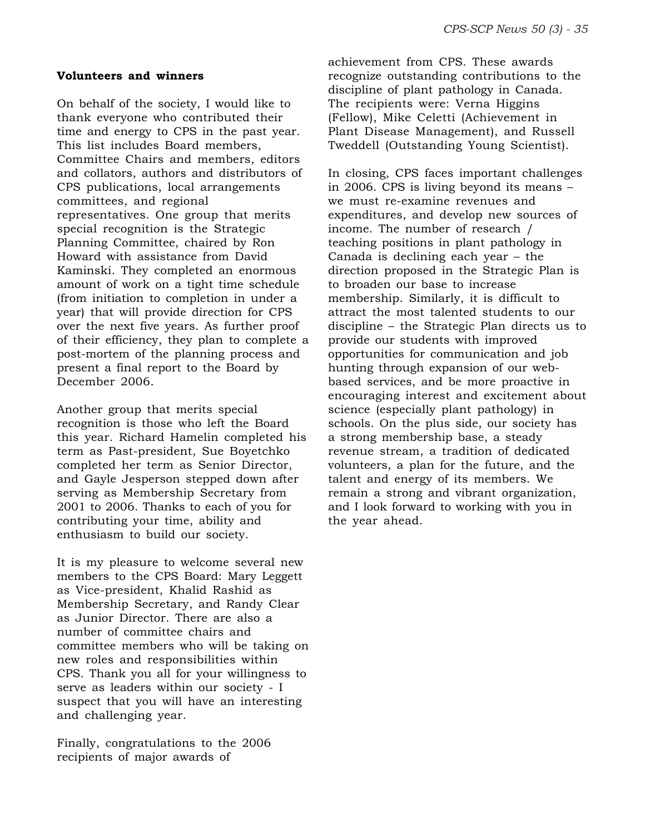#### **Volunteers and winners**

On behalf of the society, I would like to thank everyone who contributed their time and energy to CPS in the past year. This list includes Board members, Committee Chairs and members, editors and collators, authors and distributors of CPS publications, local arrangements committees, and regional representatives. One group that merits special recognition is the Strategic Planning Committee, chaired by Ron Howard with assistance from David Kaminski. They completed an enormous amount of work on a tight time schedule (from initiation to completion in under a year) that will provide direction for CPS over the next five years. As further proof of their efficiency, they plan to complete a post-mortem of the planning process and present a final report to the Board by December 2006.

Another group that merits special recognition is those who left the Board this year. Richard Hamelin completed his term as Past-president, Sue Boyetchko completed her term as Senior Director, and Gayle Jesperson stepped down after serving as Membership Secretary from 2001 to 2006. Thanks to each of you for contributing your time, ability and enthusiasm to build our society.

It is my pleasure to welcome several new members to the CPS Board: Mary Leggett as Vice-president, Khalid Rashid as Membership Secretary, and Randy Clear as Junior Director. There are also a number of committee chairs and committee members who will be taking on new roles and responsibilities within CPS. Thank you all for your willingness to serve as leaders within our society - I suspect that you will have an interesting and challenging year.

Finally, congratulations to the 2006 recipients of major awards of

achievement from CPS. These awards recognize outstanding contributions to the discipline of plant pathology in Canada. The recipients were: Verna Higgins (Fellow), Mike Celetti (Achievement in Plant Disease Management), and Russell Tweddell (Outstanding Young Scientist).

In closing, CPS faces important challenges in 2006. CPS is living beyond its means – we must re-examine revenues and expenditures, and develop new sources of income. The number of research / teaching positions in plant pathology in Canada is declining each year – the direction proposed in the Strategic Plan is to broaden our base to increase membership. Similarly, it is difficult to attract the most talented students to our discipline – the Strategic Plan directs us to provide our students with improved opportunities for communication and job hunting through expansion of our webbased services, and be more proactive in encouraging interest and excitement about science (especially plant pathology) in schools. On the plus side, our society has a strong membership base, a steady revenue stream, a tradition of dedicated volunteers, a plan for the future, and the talent and energy of its members. We remain a strong and vibrant organization, and I look forward to working with you in the year ahead.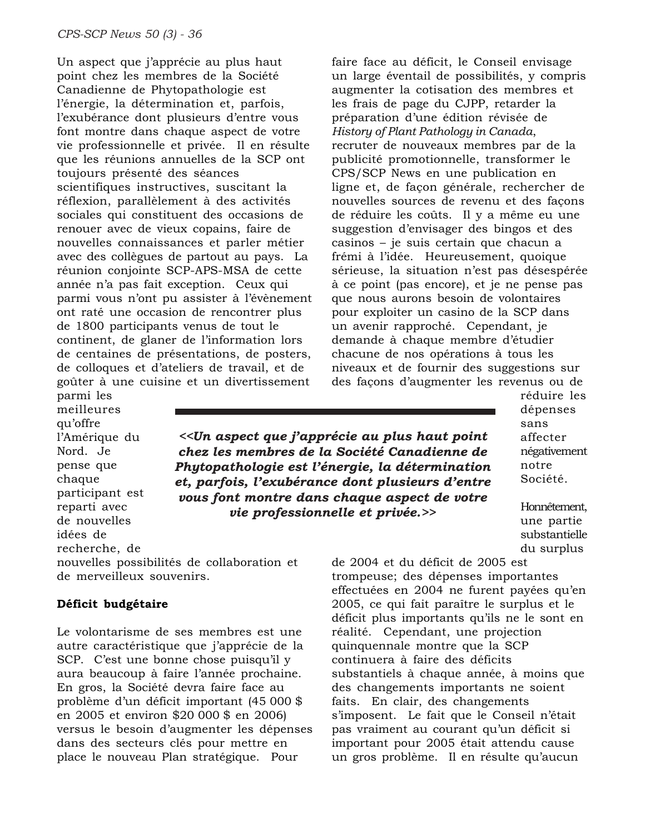Un aspect que j'apprécie au plus haut point chez les membres de la Société Canadienne de Phytopathologie est l'énergie, la détermination et, parfois, l'exubérance dont plusieurs d'entre vous font montre dans chaque aspect de votre vie professionnelle et privée. Il en résulte que les réunions annuelles de la SCP ont toujours présenté des séances scientifiques instructives, suscitant la réflexion, parallèlement à des activités sociales qui constituent des occasions de renouer avec de vieux copains, faire de nouvelles connaissances et parler métier avec des collègues de partout au pays. La réunion conjointe SCP-APS-MSA de cette année n'a pas fait exception. Ceux qui parmi vous n'ont pu assister à l'évènement ont raté une occasion de rencontrer plus de 1800 participants venus de tout le continent, de glaner de l'information lors de centaines de présentations, de posters, de colloques et d'ateliers de travail, et de goûter à une cuisine et un divertissement

faire face au déficit, le Conseil envisage un large éventail de possibilités, y compris augmenter la cotisation des membres et les frais de page du CJPP, retarder la préparation d'une édition révisée de *History of Plant Pathology in Canada*, recruter de nouveaux membres par de la publicité promotionnelle, transformer le CPS/SCP News en une publication en ligne et, de façon générale, rechercher de nouvelles sources de revenu et des façons de réduire les coûts. Il y a même eu une suggestion d'envisager des bingos et des casinos – je suis certain que chacun a frémi à l'idée. Heureusement, quoique sérieuse, la situation n'est pas désespérée à ce point (pas encore), et je ne pense pas que nous aurons besoin de volontaires pour exploiter un casino de la SCP dans un avenir rapproché. Cependant, je demande à chaque membre d'étudier chacune de nos opérations à tous les niveaux et de fournir des suggestions sur des façons d'augmenter les revenus ou de

parmi les meilleures qu'offre l'Amérique du Nord. Je pense que chaque participant est reparti avec de nouvelles idées de recherche, de

*<<Un aspect que j'apprécie au plus haut point chez les membres de la Société Canadienne de Phytopathologie est l'énergie, la détermination et, parfois, l'exubérance dont plusieurs d'entre vous font montre dans chaque aspect de votre vie professionnelle et privée.>>*

réduire les dépenses sans affecter négativement notre Société.

Honnêtement, une partie substantielle du surplus

de 2004 et du déficit de 2005 est trompeuse; des dépenses importantes effectuées en 2004 ne furent payées qu'en 2005, ce qui fait paraître le surplus et le déficit plus importants qu'ils ne le sont en réalité. Cependant, une projection quinquennale montre que la SCP continuera à faire des déficits substantiels à chaque année, à moins que des changements importants ne soient faits. En clair, des changements s'imposent. Le fait que le Conseil n'était pas vraiment au courant qu'un déficit si important pour 2005 était attendu cause un gros problème. Il en résulte qu'aucun

nouvelles possibilités de collaboration et de merveilleux souvenirs.

#### **Déficit budgétaire**

Le volontarisme de ses membres est une autre caractéristique que j'apprécie de la SCP. C'est une bonne chose puisqu'il y aura beaucoup à faire l'année prochaine. En gros, la Société devra faire face au problème d'un déficit important (45 000 \$ en 2005 et environ \$20 000 \$ en 2006) versus le besoin d'augmenter les dépenses dans des secteurs clés pour mettre en place le nouveau Plan stratégique. Pour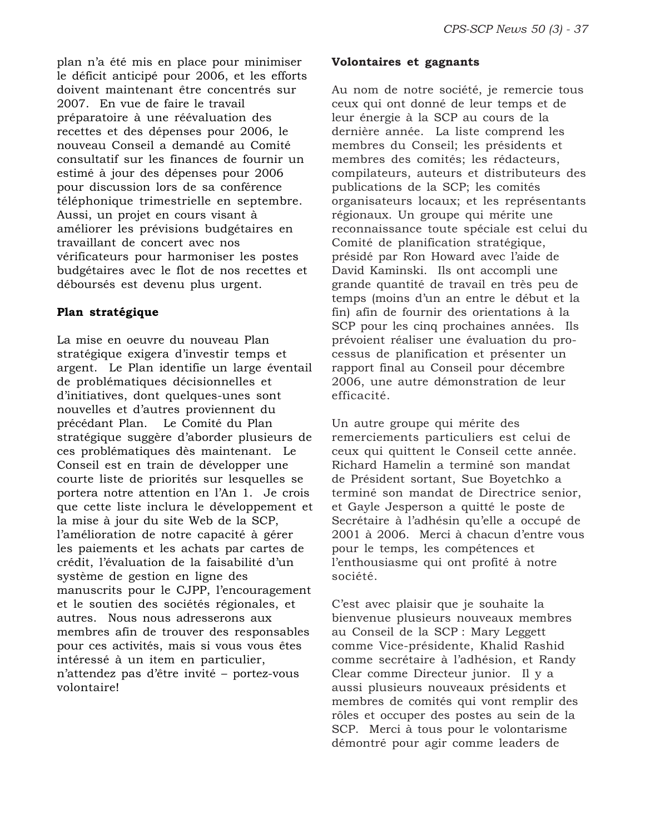plan n'a été mis en place pour minimiser le déficit anticipé pour 2006, et les efforts doivent maintenant être concentrés sur 2007. En vue de faire le travail préparatoire à une réévaluation des recettes et des dépenses pour 2006, le nouveau Conseil a demandé au Comité consultatif sur les finances de fournir un estimé à jour des dépenses pour 2006 pour discussion lors de sa conférence téléphonique trimestrielle en septembre. Aussi, un projet en cours visant à améliorer les prévisions budgétaires en travaillant de concert avec nos vérificateurs pour harmoniser les postes budgétaires avec le flot de nos recettes et déboursés est devenu plus urgent.

#### **Plan stratégique**

La mise en oeuvre du nouveau Plan stratégique exigera d'investir temps et argent. Le Plan identifie un large éventail de problématiques décisionnelles et d'initiatives, dont quelques-unes sont nouvelles et d'autres proviennent du précédant Plan. Le Comité du Plan stratégique suggère d'aborder plusieurs de ces problématiques dès maintenant. Le Conseil est en train de développer une courte liste de priorités sur lesquelles se portera notre attention en l'An 1. Je crois que cette liste inclura le développement et la mise à jour du site Web de la SCP, l'amélioration de notre capacité à gérer les paiements et les achats par cartes de crédit, l'évaluation de la faisabilité d'un système de gestion en ligne des manuscrits pour le CJPP, l'encouragement et le soutien des sociétés régionales, et autres. Nous nous adresserons aux membres afin de trouver des responsables pour ces activités, mais si vous vous êtes intéressé à un item en particulier, n'attendez pas d'être invité – portez-vous volontaire!

#### **Volontaires et gagnants**

Au nom de notre société, je remercie tous ceux qui ont donné de leur temps et de leur énergie à la SCP au cours de la dernière année. La liste comprend les membres du Conseil; les présidents et membres des comités; les rédacteurs, compilateurs, auteurs et distributeurs des publications de la SCP; les comités organisateurs locaux; et les représentants régionaux. Un groupe qui mérite une reconnaissance toute spéciale est celui du Comité de planification stratégique, présidé par Ron Howard avec l'aide de David Kaminski. Ils ont accompli une grande quantité de travail en très peu de temps (moins d'un an entre le début et la fin) afin de fournir des orientations à la SCP pour les cinq prochaines années. Ils prévoient réaliser une évaluation du processus de planification et présenter un rapport final au Conseil pour décembre 2006, une autre démonstration de leur efficacité.

Un autre groupe qui mérite des remerciements particuliers est celui de ceux qui quittent le Conseil cette année. Richard Hamelin a terminé son mandat de Président sortant, Sue Boyetchko a terminé son mandat de Directrice senior, et Gayle Jesperson a quitté le poste de Secrétaire à l'adhésin qu'elle a occupé de 2001 à 2006. Merci à chacun d'entre vous pour le temps, les compétences et l'enthousiasme qui ont profité à notre société.

C'est avec plaisir que je souhaite la bienvenue plusieurs nouveaux membres au Conseil de la SCP : Mary Leggett comme Vice-présidente, Khalid Rashid comme secrétaire à l'adhésion, et Randy Clear comme Directeur junior. Il y a aussi plusieurs nouveaux présidents et membres de comités qui vont remplir des rôles et occuper des postes au sein de la SCP. Merci à tous pour le volontarisme démontré pour agir comme leaders de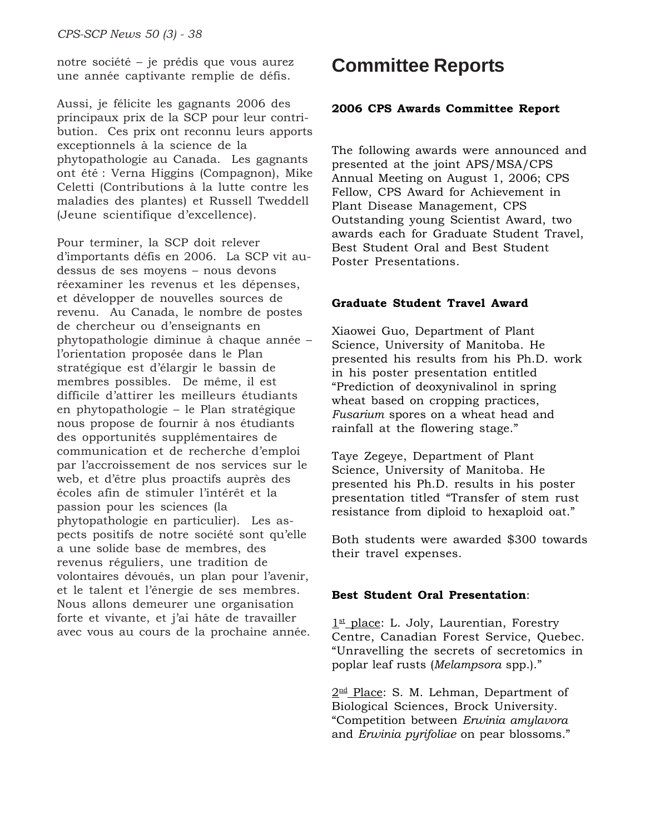notre société – je prédis que vous aurez une année captivante remplie de défis.

Aussi, je félicite les gagnants 2006 des principaux prix de la SCP pour leur contribution. Ces prix ont reconnu leurs apports exceptionnels à la science de la phytopathologie au Canada. Les gagnants ont été : Verna Higgins (Compagnon), Mike Celetti (Contributions à la lutte contre les maladies des plantes) et Russell Tweddell (Jeune scientifique d'excellence).

Pour terminer, la SCP doit relever d'importants défis en 2006. La SCP vit audessus de ses moyens – nous devons réexaminer les revenus et les dépenses, et développer de nouvelles sources de revenu. Au Canada, le nombre de postes de chercheur ou d'enseignants en phytopathologie diminue à chaque année – l'orientation proposée dans le Plan stratégique est d'élargir le bassin de membres possibles. De même, il est difficile d'attirer les meilleurs étudiants en phytopathologie – le Plan stratégique nous propose de fournir à nos étudiants des opportunités supplémentaires de communication et de recherche d'emploi par l'accroissement de nos services sur le web, et d'être plus proactifs auprès des écoles afin de stimuler l'intérêt et la passion pour les sciences (la phytopathologie en particulier). Les aspects positifs de notre société sont qu'elle a une solide base de membres, des revenus réguliers, une tradition de volontaires dévoués, un plan pour l'avenir, et le talent et l'énergie de ses membres. Nous allons demeurer une organisation forte et vivante, et j'ai hâte de travailler avec vous au cours de la prochaine année.

## **Committee Reports**

#### **2006 CPS Awards Committee Report**

The following awards were announced and presented at the joint APS/MSA/CPS Annual Meeting on August 1, 2006; CPS Fellow, CPS Award for Achievement in Plant Disease Management, CPS Outstanding young Scientist Award, two awards each for Graduate Student Travel, Best Student Oral and Best Student Poster Presentations.

#### **Graduate Student Travel Award**

Xiaowei Guo, Department of Plant Science, University of Manitoba. He presented his results from his Ph.D. work in his poster presentation entitled "Prediction of deoxynivalinol in spring wheat based on cropping practices, *Fusarium* spores on a wheat head and rainfall at the flowering stage."

Taye Zegeye, Department of Plant Science, University of Manitoba. He presented his Ph.D. results in his poster presentation titled "Transfer of stem rust resistance from diploid to hexaploid oat."

Both students were awarded \$300 towards their travel expenses.

#### **Best Student Oral Presentation**:

 $1<sup>st</sup>$  place: L. Joly, Laurentian, Forestry Centre, Canadian Forest Service, Quebec. "Unravelling the secrets of secretomics in poplar leaf rusts (*Melampsora* spp.)."

2<sup>nd</sup> Place: S. M. Lehman, Department of Biological Sciences, Brock University. "Competition between *Erwinia amylavora* and *Erwinia pyrifoliae* on pear blossoms."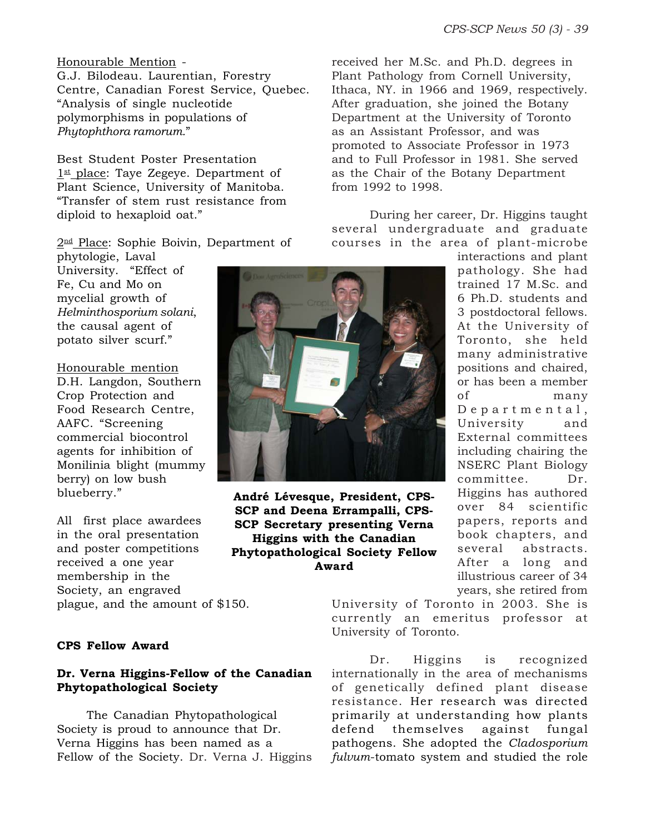#### Honourable Mention -

G.J. Bilodeau. Laurentian, Forestry Centre, Canadian Forest Service, Quebec. "Analysis of single nucleotide polymorphisms in populations of *Phytophthora ramorum.*"

Best Student Poster Presentation  $1<sup>st</sup>$  place: Taye Zegeye. Department of Plant Science, University of Manitoba. "Transfer of stem rust resistance from diploid to hexaploid oat."

2<sup>nd</sup> Place: Sophie Boivin, Department of

phytologie, Laval University. "Effect of Fe, Cu and Mo on mycelial growth of *Helminthosporium solani*, the causal agent of potato silver scurf."

#### Honourable mention

D.H. Langdon, Southern Crop Protection and Food Research Centre, AAFC. "Screening commercial biocontrol agents for inhibition of Monilinia blight (mummy berry) on low bush blueberry."

All first place awardees in the oral presentation and poster competitions received a one year membership in the Society, an engraved plague, and the amount of \$150.

#### **CPS Fellow Award**

#### **Dr. Verna Higgins-Fellow of the Canadian Phytopathological Society**

The Canadian Phytopathological Society is proud to announce that Dr. Verna Higgins has been named as a Fellow of the Society. Dr. Verna J. Higgins



**André Lévesque, President, CPS-SCP and Deena Errampalli, CPS-SCP Secretary presenting Verna Higgins with the Canadian Phytopathological Society Fellow Award**

received her M.Sc. and Ph.D. degrees in Plant Pathology from Cornell University, Ithaca, NY. in 1966 and 1969, respectively. After graduation, she joined the Botany Department at the University of Toronto as an Assistant Professor, and was promoted to Associate Professor in 1973 and to Full Professor in 1981. She served as the Chair of the Botany Department from 1992 to 1998.

During her career, Dr. Higgins taught several undergraduate and graduate courses in the area of plant-microbe

interactions and plant pathology. She had trained 17 M.Sc. and 6 Ph.D. students and 3 postdoctoral fellows. At the University of Toronto, she held many administrative positions and chaired, or has been a member of many Departmental, University and External committees including chairing the NSERC Plant Biology committee. Dr. Higgins has authored over 84 scientific papers, reports and book chapters, and several abstracts. After a long and illustrious career of 34 years, she retired from

University of Toronto in 2003. She is currently an emeritus professor at University of Toronto.

Dr. Higgins is recognized internationally in the area of mechanisms of genetically defined plant disease resistance. Her research was directed primarily at understanding how plants defend themselves against fungal pathogens. She adopted the *Cladosporium fulvum*-tomato system and studied the role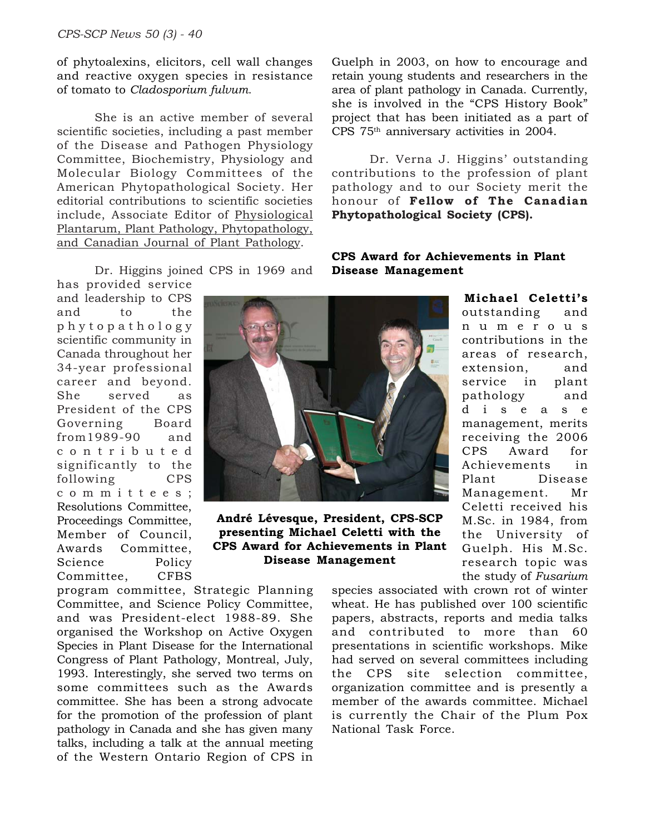of phytoalexins, elicitors, cell wall changes and reactive oxygen species in resistance of tomato to *Cladosporium fulvum*.

She is an active member of several scientific societies, including a past member of the Disease and Pathogen Physiology Committee, Biochemistry, Physiology and Molecular Biology Committees of the American Phytopathological Society. Her editorial contributions to scientific societies include, Associate Editor of Physiological Plantarum, Plant Pathology, Phytopathology, and Canadian Journal of Plant Pathology.

Dr. Higgins joined CPS in 1969 and

has provided service and leadership to CPS and to the phytopathology scientific community in Canada throughout her 34-year professional career and beyond. She served as President of the CPS Governing Board from1989-90 and contributed significantly to the following CPS committees; Resolutions Committee, Proceedings Committee, Member of Council, Awards Committee, Science Policy Committee, CFBS



**André Lévesque, President, CPS-SCP presenting Michael Celetti with the CPS Award for Achievements in Plant Disease Management**

program committee, Strategic Planning Committee, and Science Policy Committee, and was President-elect 1988-89. She organised the Workshop on Active Oxygen Species in Plant Disease for the International Congress of Plant Pathology, Montreal, July, 1993. Interestingly, she served two terms on some committees such as the Awards committee. She has been a strong advocate for the promotion of the profession of plant pathology in Canada and she has given many talks, including a talk at the annual meeting of the Western Ontario Region of CPS in

Guelph in 2003, on how to encourage and retain young students and researchers in the area of plant pathology in Canada. Currently, she is involved in the "CPS History Book" project that has been initiated as a part of CPS 75th anniversary activities in 2004.

Dr. Verna J. Higgins' outstanding contributions to the profession of plant pathology and to our Society merit the honour of **Fellow of The Canadian Phytopathological Society (CPS).**

#### **CPS Award for Achievements in Plant Disease Management**

**Michael Celetti's** outstanding and numerous contributions in the areas of research, extension, and service in plant pathology and disease management, merits receiving the 2006 CPS Award for Achievements in Plant Disease Management. Mr Celetti received his M.Sc. in 1984, from the University of Guelph. His M.Sc. research topic was the study of *Fusarium*

species associated with crown rot of winter wheat. He has published over 100 scientific papers, abstracts, reports and media talks and contributed to more than 60 presentations in scientific workshops. Mike had served on several committees including the CPS site selection committee, organization committee and is presently a member of the awards committee. Michael is currently the Chair of the Plum Pox National Task Force.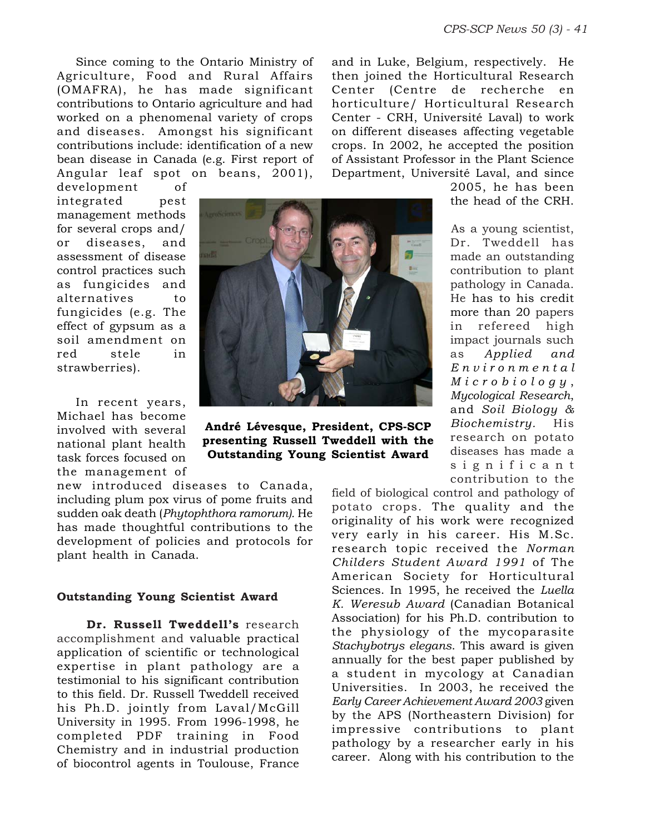Since coming to the Ontario Ministry of Agriculture, Food and Rural Affairs (OMAFRA), he has made significant contributions to Ontario agriculture and had worked on a phenomenal variety of crops and diseases. Amongst his significant contributions include: identification of a new bean disease in Canada (e.g. First report of Angular leaf spot on beans, 2001),

and in Luke, Belgium, respectively. He then joined the Horticultural Research Center (Centre de recherche en horticulture/ Horticultural Research Center - CRH, Université Laval) to work on different diseases affecting vegetable crops. In 2002, he accepted the position of Assistant Professor in the Plant Science Department, Université Laval, and since

development of integrated pest management methods for several crops and/ or diseases, and assessment of disease control practices such as fungicides and alternatives to fungicides (e.g. The effect of gypsum as a soil amendment on red stele in strawberries).

In recent years, Michael has become involved with several national plant health task forces focused on the management of

new introduced diseases to Canada, including plum pox virus of pome fruits and sudden oak death (*Phytophthora ramorum).* He has made thoughtful contributions to the development of policies and protocols for plant health in Canada.

#### **Outstanding Young Scientist Award**

**Dr. Russell Tweddell's** research accomplishment and valuable practical application of scientific or technological expertise in plant pathology are a testimonial to his significant contribution to this field. Dr. Russell Tweddell received his Ph.D. jointly from Laval/McGill University in 1995. From 1996-1998, he completed PDF training in Food Chemistry and in industrial production of biocontrol agents in Toulouse, France



**André Lévesque, President, CPS-SCP presenting Russell Tweddell with the Outstanding Young Scientist Award**

2005, he has been the head of the CRH.

As a young scientist, Dr. Tweddell has made an outstanding contribution to plant pathology in Canada. He has to his credit more than 20 papers in refereed high impact journals such as *Applied and Environmental Microbiology* , *Mycological Research*, and *Soil Biology & Biochemistry.* His research on potato diseases has made a significant contribution to the

field of biological control and pathology of potato crops. The quality and the originality of his work were recognized very early in his career. His M.Sc. research topic received the *Norman Childers Student Award 1991* of The American Society for Horticultural Sciences. In 1995, he received the *Luella K. Weresub Award* (Canadian Botanical Association) for his Ph.D. contribution to the physiology of the mycoparasite *Stachybotrys elegans*. This award is given annually for the best paper published by a student in mycology at Canadian Universities. In 2003, he received the *Early Career Achievement Award 2003* given by the APS (Northeastern Division) for impressive contributions to plant pathology by a researcher early in his career. Along with his contribution to the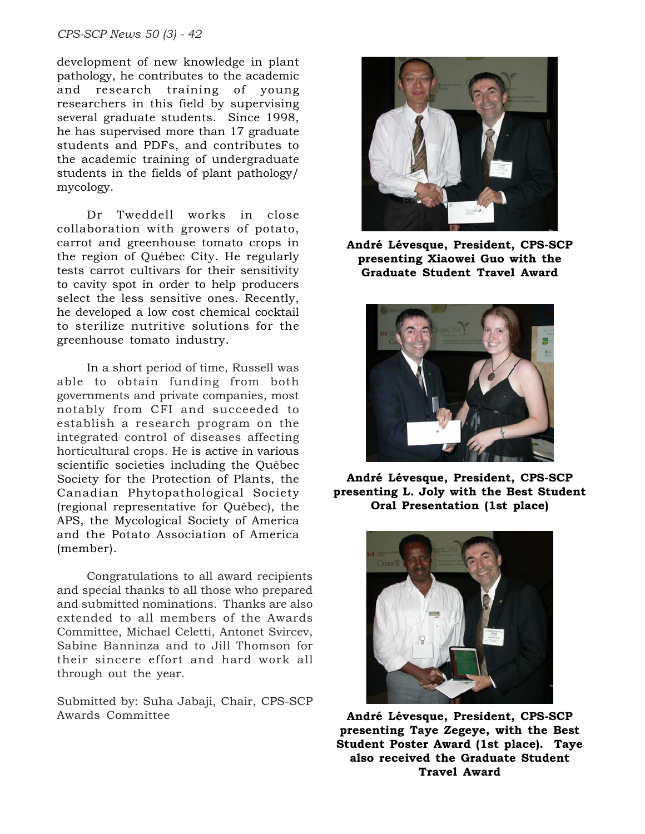*CPS-SCP News 50 (3) - 42*

development of new knowledge in plant pathology, he contributes to the academic and research training of young researchers in this field by supervising several graduate students. Since 1998, he has supervised more than 17 graduate students and PDFs, and contributes to the academic training of undergraduate students in the fields of plant pathology/ mycology.

Dr Tweddell works in close collaboration with growers of potato, carrot and greenhouse tomato crops in the region of Québec City. He regularly tests carrot cultivars for their sensitivity to cavity spot in order to help producers select the less sensitive ones. Recently, he developed a low cost chemical cocktail to sterilize nutritive solutions for the greenhouse tomato industry.

In a short period of time, Russell was able to obtain funding from both governments and private companies, most notably from CFI and succeeded to establish a research program on the integrated control of diseases affecting horticultural crops. He is active in various scientific societies including the Québec Society for the Protection of Plants, the Canadian Phytopathological Society (regional representative for Québec), the APS, the Mycological Society of America and the Potato Association of America (member).

Congratulations to all award recipients and special thanks to all those who prepared and submitted nominations. Thanks are also extended to all members of the Awards Committee, Michael Celetti, Antonet Svircev, Sabine Banninza and to Jill Thomson for their sincere effort and hard work all through out the year.

Submitted by: Suha Jabaji, Chair, CPS-SCP Awards Committee



**André Lévesque, President, CPS-SCP presenting Xiaowei Guo with the Graduate Student Travel Award**



**André Lévesque, President, CPS-SCP presenting L. Joly with the Best Student Oral Presentation (1st place)**



**André Lévesque, President, CPS-SCP presenting Taye Zegeye, with the Best Student Poster Award (1st place). Taye also received the Graduate Student Travel Award**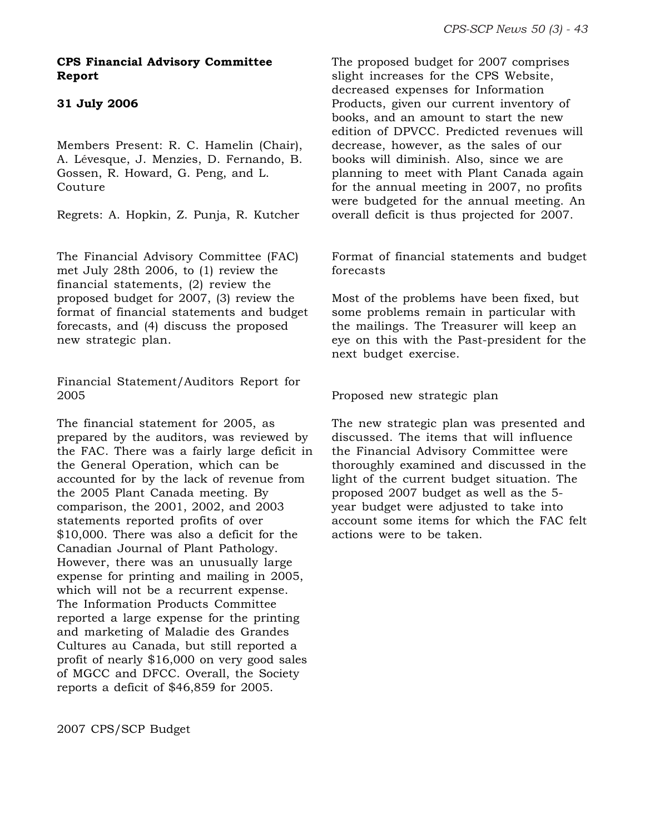#### **CPS Financial Advisory Committee Report**

#### **31 July 2006**

Members Present: R. C. Hamelin (Chair), A. Lévesque, J. Menzies, D. Fernando, B. Gossen, R. Howard, G. Peng, and L. Couture

Regrets: A. Hopkin, Z. Punja, R. Kutcher

The Financial Advisory Committee (FAC) met July 28th 2006, to (1) review the financial statements, (2) review the proposed budget for 2007, (3) review the format of financial statements and budget forecasts, and (4) discuss the proposed new strategic plan.

Financial Statement/Auditors Report for 2005

The financial statement for 2005, as prepared by the auditors, was reviewed by the FAC. There was a fairly large deficit in the General Operation, which can be accounted for by the lack of revenue from the 2005 Plant Canada meeting. By comparison, the 2001, 2002, and 2003 statements reported profits of over \$10,000. There was also a deficit for the Canadian Journal of Plant Pathology. However, there was an unusually large expense for printing and mailing in 2005, which will not be a recurrent expense. The Information Products Committee reported a large expense for the printing and marketing of Maladie des Grandes Cultures au Canada, but still reported a profit of nearly \$16,000 on very good sales of MGCC and DFCC. Overall, the Society reports a deficit of \$46,859 for 2005.

The proposed budget for 2007 comprises slight increases for the CPS Website, decreased expenses for Information Products, given our current inventory of books, and an amount to start the new edition of DPVCC. Predicted revenues will decrease, however, as the sales of our books will diminish. Also, since we are planning to meet with Plant Canada again for the annual meeting in 2007, no profits were budgeted for the annual meeting. An overall deficit is thus projected for 2007.

Format of financial statements and budget forecasts

Most of the problems have been fixed, but some problems remain in particular with the mailings. The Treasurer will keep an eye on this with the Past-president for the next budget exercise.

Proposed new strategic plan

The new strategic plan was presented and discussed. The items that will influence the Financial Advisory Committee were thoroughly examined and discussed in the light of the current budget situation. The proposed 2007 budget as well as the 5 year budget were adjusted to take into account some items for which the FAC felt actions were to be taken.

2007 CPS/SCP Budget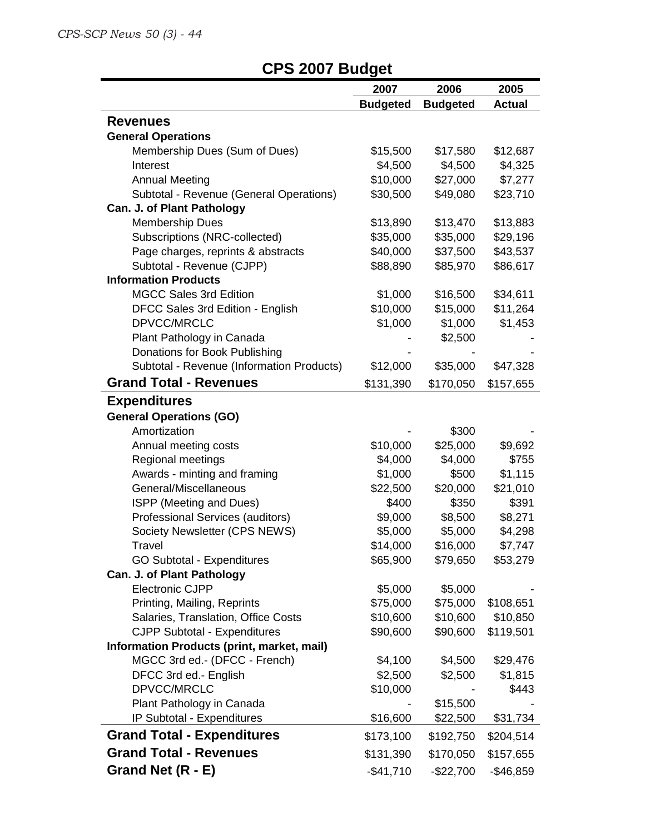$\bar{z}$ 

# **CPS 2007 Budget**

|                                            | 2007            | 2006            | 2005          |
|--------------------------------------------|-----------------|-----------------|---------------|
|                                            | <b>Budgeted</b> | <b>Budgeted</b> | <b>Actual</b> |
| <b>Revenues</b>                            |                 |                 |               |
| <b>General Operations</b>                  |                 |                 |               |
| Membership Dues (Sum of Dues)              | \$15,500        | \$17,580        | \$12,687      |
| Interest                                   | \$4,500         | \$4,500         | \$4,325       |
| <b>Annual Meeting</b>                      | \$10,000        | \$27,000        | \$7,277       |
| Subtotal - Revenue (General Operations)    | \$30,500        | \$49,080        | \$23,710      |
| Can. J. of Plant Pathology                 |                 |                 |               |
| Membership Dues                            | \$13,890        | \$13,470        | \$13,883      |
| Subscriptions (NRC-collected)              | \$35,000        | \$35,000        | \$29,196      |
| Page charges, reprints & abstracts         | \$40,000        | \$37,500        | \$43,537      |
| Subtotal - Revenue (CJPP)                  | \$88,890        | \$85,970        | \$86,617      |
| <b>Information Products</b>                |                 |                 |               |
| <b>MGCC Sales 3rd Edition</b>              | \$1,000         | \$16,500        | \$34,611      |
| DFCC Sales 3rd Edition - English           | \$10,000        | \$15,000        | \$11,264      |
| DPVCC/MRCLC                                | \$1,000         | \$1,000         | \$1,453       |
| Plant Pathology in Canada                  |                 | \$2,500         |               |
| Donations for Book Publishing              |                 |                 |               |
| Subtotal - Revenue (Information Products)  | \$12,000        | \$35,000        | \$47,328      |
| <b>Grand Total - Revenues</b>              | \$131,390       | \$170,050       | \$157,655     |
| <b>Expenditures</b>                        |                 |                 |               |
| <b>General Operations (GO)</b>             |                 |                 |               |
| Amortization                               |                 | \$300           |               |
| Annual meeting costs                       | \$10,000        | \$25,000        | \$9,692       |
| Regional meetings                          | \$4,000         | \$4,000         | \$755         |
| Awards - minting and framing               | \$1,000         | \$500           | \$1,115       |
| General/Miscellaneous                      | \$22,500        | \$20,000        | \$21,010      |
| ISPP (Meeting and Dues)                    | \$400           | \$350           | \$391         |
| Professional Services (auditors)           | \$9,000         | \$8,500         | \$8,271       |
| Society Newsletter (CPS NEWS)              | \$5,000         | \$5,000         | \$4,298       |
| Travel                                     | \$14,000        | \$16,000        | \$7,747       |
| <b>GO Subtotal - Expenditures</b>          | \$65,900        | \$79,650        | \$53,279      |
| Can. J. of Plant Pathology                 |                 |                 |               |
| <b>Electronic CJPP</b>                     | \$5,000         | \$5,000         |               |
| Printing, Mailing, Reprints                | \$75,000        | \$75,000        | \$108,651     |
| Salaries, Translation, Office Costs        | \$10,600        | \$10,600        | \$10,850      |
| <b>CJPP Subtotal - Expenditures</b>        | \$90,600        | \$90,600        | \$119,501     |
| Information Products (print, market, mail) |                 |                 |               |
| MGCC 3rd ed.- (DFCC - French)              | \$4,100         | \$4,500         | \$29,476      |
| DFCC 3rd ed.- English                      | \$2,500         | \$2,500         | \$1,815       |
| DPVCC/MRCLC                                | \$10,000        |                 | \$443         |
| Plant Pathology in Canada                  |                 | \$15,500        |               |
| IP Subtotal - Expenditures                 | \$16,600        | \$22,500        | \$31,734      |
| <b>Grand Total - Expenditures</b>          | \$173,100       | \$192,750       | \$204,514     |
| <b>Grand Total - Revenues</b>              | \$131,390       | \$170,050       | \$157,655     |
| Grand Net (R - E)                          | $-$41,710$      | $-$22,700$      | $-$46,859$    |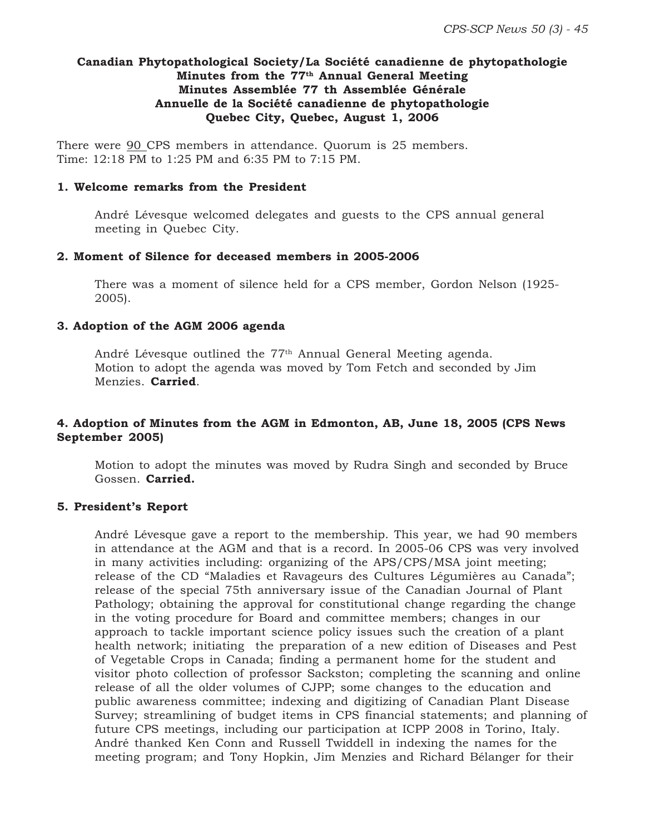#### **Canadian Phytopathological Society/La Société canadienne de phytopathologie Minutes from the 77th Annual General Meeting Minutes Assemblée 77 th Assemblée Générale Annuelle de la Société canadienne de phytopathologie Quebec City, Quebec, August 1, 2006**

There were 90 CPS members in attendance. Quorum is 25 members. Time: 12:18 PM to 1:25 PM and 6:35 PM to 7:15 PM.

#### **1. Welcome remarks from the President**

André Lévesque welcomed delegates and guests to the CPS annual general meeting in Quebec City.

#### **2. Moment of Silence for deceased members in 2005-2006**

There was a moment of silence held for a CPS member, Gordon Nelson (1925- 2005).

#### **3. Adoption of the AGM 2006 agenda**

André Lévesque outlined the  $77<sup>th</sup>$  Annual General Meeting agenda. Motion to adopt the agenda was moved by Tom Fetch and seconded by Jim Menzies. **Carried**.

#### **4. Adoption of Minutes from the AGM in Edmonton, AB, June 18, 2005 (CPS News September 2005)**

Motion to adopt the minutes was moved by Rudra Singh and seconded by Bruce Gossen. **Carried.**

#### **5. President's Report**

André Lévesque gave a report to the membership. This year, we had 90 members in attendance at the AGM and that is a record. In 2005-06 CPS was very involved in many activities including: organizing of the APS/CPS/MSA joint meeting; release of the CD "Maladies et Ravageurs des Cultures Légumières au Canada"; release of the special 75th anniversary issue of the Canadian Journal of Plant Pathology; obtaining the approval for constitutional change regarding the change in the voting procedure for Board and committee members; changes in our approach to tackle important science policy issues such the creation of a plant health network; initiating the preparation of a new edition of Diseases and Pest of Vegetable Crops in Canada; finding a permanent home for the student and visitor photo collection of professor Sackston; completing the scanning and online release of all the older volumes of CJPP; some changes to the education and public awareness committee; indexing and digitizing of Canadian Plant Disease Survey; streamlining of budget items in CPS financial statements; and planning of future CPS meetings, including our participation at ICPP 2008 in Torino, Italy. André thanked Ken Conn and Russell Twiddell in indexing the names for the meeting program; and Tony Hopkin, Jim Menzies and Richard Bélanger for their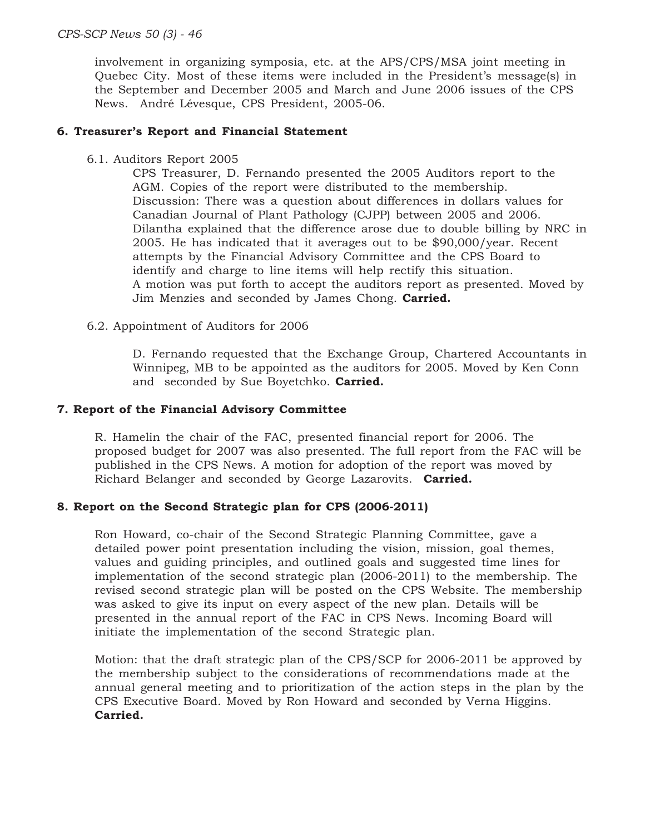involvement in organizing symposia, etc. at the APS/CPS/MSA joint meeting in Quebec City. Most of these items were included in the President's message(s) in the September and December 2005 and March and June 2006 issues of the CPS News. André Lévesque, CPS President, 2005-06.

#### **6. Treasurer's Report and Financial Statement**

6.1. Auditors Report 2005

CPS Treasurer, D. Fernando presented the 2005 Auditors report to the AGM. Copies of the report were distributed to the membership. Discussion: There was a question about differences in dollars values for Canadian Journal of Plant Pathology (CJPP) between 2005 and 2006. Dilantha explained that the difference arose due to double billing by NRC in 2005. He has indicated that it averages out to be \$90,000/year. Recent attempts by the Financial Advisory Committee and the CPS Board to identify and charge to line items will help rectify this situation. A motion was put forth to accept the auditors report as presented. Moved by Jim Menzies and seconded by James Chong. **Carried.**

6.2. Appointment of Auditors for 2006

D. Fernando requested that the Exchange Group, Chartered Accountants in Winnipeg, MB to be appointed as the auditors for 2005. Moved by Ken Conn and seconded by Sue Boyetchko. **Carried.**

#### **7. Report of the Financial Advisory Committee**

R. Hamelin the chair of the FAC, presented financial report for 2006. The proposed budget for 2007 was also presented. The full report from the FAC will be published in the CPS News. A motion for adoption of the report was moved by Richard Belanger and seconded by George Lazarovits. **Carried.**

#### **8. Report on the Second Strategic plan for CPS (2006-2011)**

Ron Howard, co-chair of the Second Strategic Planning Committee, gave a detailed power point presentation including the vision, mission, goal themes, values and guiding principles, and outlined goals and suggested time lines for implementation of the second strategic plan (2006-2011) to the membership. The revised second strategic plan will be posted on the CPS Website. The membership was asked to give its input on every aspect of the new plan. Details will be presented in the annual report of the FAC in CPS News. Incoming Board will initiate the implementation of the second Strategic plan.

Motion: that the draft strategic plan of the CPS/SCP for 2006-2011 be approved by the membership subject to the considerations of recommendations made at the annual general meeting and to prioritization of the action steps in the plan by the CPS Executive Board. Moved by Ron Howard and seconded by Verna Higgins. **Carried.**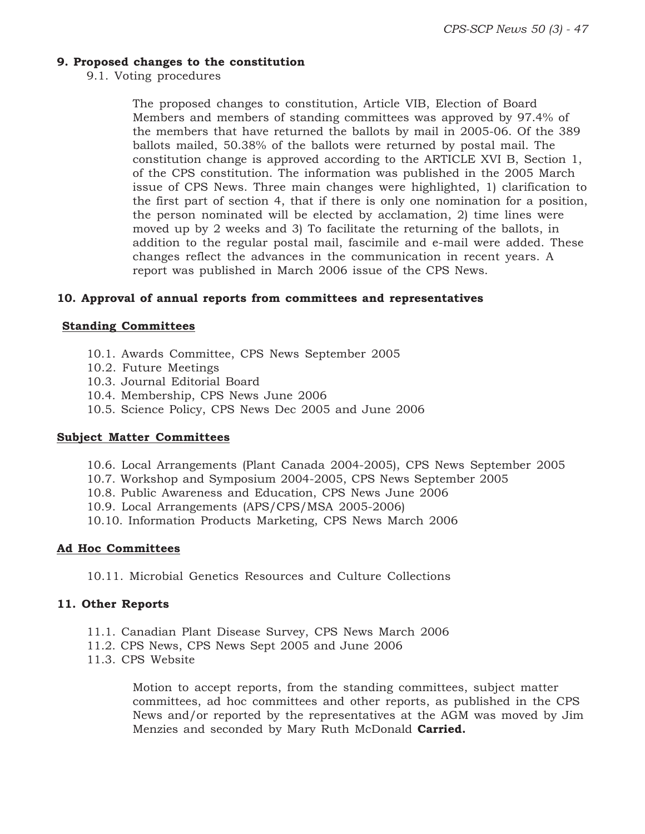#### **9. Proposed changes to the constitution**

9.1. Voting procedures

The proposed changes to constitution, Article VIB, Election of Board Members and members of standing committees was approved by 97.4% of the members that have returned the ballots by mail in 2005-06. Of the 389 ballots mailed, 50.38% of the ballots were returned by postal mail. The constitution change is approved according to the ARTICLE XVI B, Section 1, of the CPS constitution. The information was published in the 2005 March issue of CPS News. Three main changes were highlighted, 1) clarification to the first part of section 4, that if there is only one nomination for a position, the person nominated will be elected by acclamation, 2) time lines were moved up by 2 weeks and 3) To facilitate the returning of the ballots, in addition to the regular postal mail, fascimile and e-mail were added. These changes reflect the advances in the communication in recent years. A report was published in March 2006 issue of the CPS News.

#### **10. Approval of annual reports from committees and representatives**

#### **Standing Committees**

- 10.1. Awards Committee, CPS News September 2005
- 10.2. Future Meetings
- 10.3. Journal Editorial Board
- 10.4. Membership, CPS News June 2006
- 10.5. Science Policy, CPS News Dec 2005 and June 2006

#### **Subject Matter Committees**

- 10.6. Local Arrangements (Plant Canada 2004-2005), CPS News September 2005
- 10.7. Workshop and Symposium 2004-2005, CPS News September 2005
- 10.8. Public Awareness and Education, CPS News June 2006
- 10.9. Local Arrangements (APS/CPS/MSA 2005-2006)
- 10.10. Information Products Marketing, CPS News March 2006

#### **Ad Hoc Committees**

10.11. Microbial Genetics Resources and Culture Collections

#### **11. Other Reports**

- 11.1. Canadian Plant Disease Survey, CPS News March 2006
- 11.2. CPS News, CPS News Sept 2005 and June 2006
- 11.3. CPS Website

Motion to accept reports, from the standing committees, subject matter committees, ad hoc committees and other reports, as published in the CPS News and/or reported by the representatives at the AGM was moved by Jim Menzies and seconded by Mary Ruth McDonald **Carried.**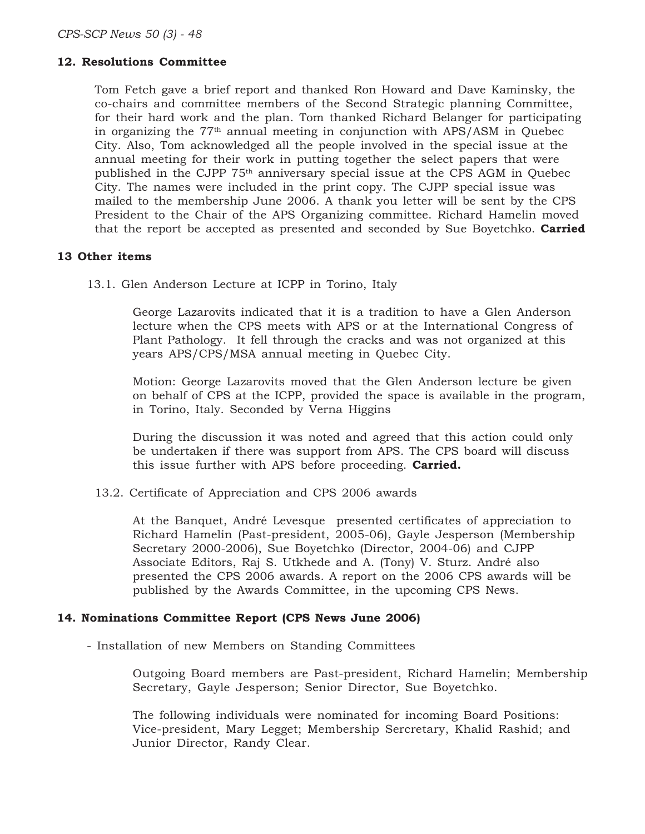#### **12. Resolutions Committee**

Tom Fetch gave a brief report and thanked Ron Howard and Dave Kaminsky, the co-chairs and committee members of the Second Strategic planning Committee, for their hard work and the plan. Tom thanked Richard Belanger for participating in organizing the  $77<sup>th</sup>$  annual meeting in conjunction with APS/ASM in Quebec City. Also, Tom acknowledged all the people involved in the special issue at the annual meeting for their work in putting together the select papers that were published in the CJPP 75<sup>th</sup> anniversary special issue at the CPS AGM in Quebec City. The names were included in the print copy. The CJPP special issue was mailed to the membership June 2006. A thank you letter will be sent by the CPS President to the Chair of the APS Organizing committee. Richard Hamelin moved that the report be accepted as presented and seconded by Sue Boyetchko. **Carried**

#### **13 Other items**

13.1. Glen Anderson Lecture at ICPP in Torino, Italy

George Lazarovits indicated that it is a tradition to have a Glen Anderson lecture when the CPS meets with APS or at the International Congress of Plant Pathology. It fell through the cracks and was not organized at this years APS/CPS/MSA annual meeting in Quebec City.

Motion: George Lazarovits moved that the Glen Anderson lecture be given on behalf of CPS at the ICPP, provided the space is available in the program, in Torino, Italy. Seconded by Verna Higgins

During the discussion it was noted and agreed that this action could only be undertaken if there was support from APS. The CPS board will discuss this issue further with APS before proceeding. **Carried.**

13.2. Certificate of Appreciation and CPS 2006 awards

At the Banquet, André Levesque presented certificates of appreciation to Richard Hamelin (Past-president, 2005-06), Gayle Jesperson (Membership Secretary 2000-2006), Sue Boyetchko (Director, 2004-06) and CJPP Associate Editors, Raj S. Utkhede and A. (Tony) V. Sturz. André also presented the CPS 2006 awards. A report on the 2006 CPS awards will be published by the Awards Committee, in the upcoming CPS News.

#### **14. Nominations Committee Report (CPS News June 2006)**

- Installation of new Members on Standing Committees

Outgoing Board members are Past-president, Richard Hamelin; Membership Secretary, Gayle Jesperson; Senior Director, Sue Boyetchko.

The following individuals were nominated for incoming Board Positions: Vice-president, Mary Legget; Membership Sercretary, Khalid Rashid; and Junior Director, Randy Clear.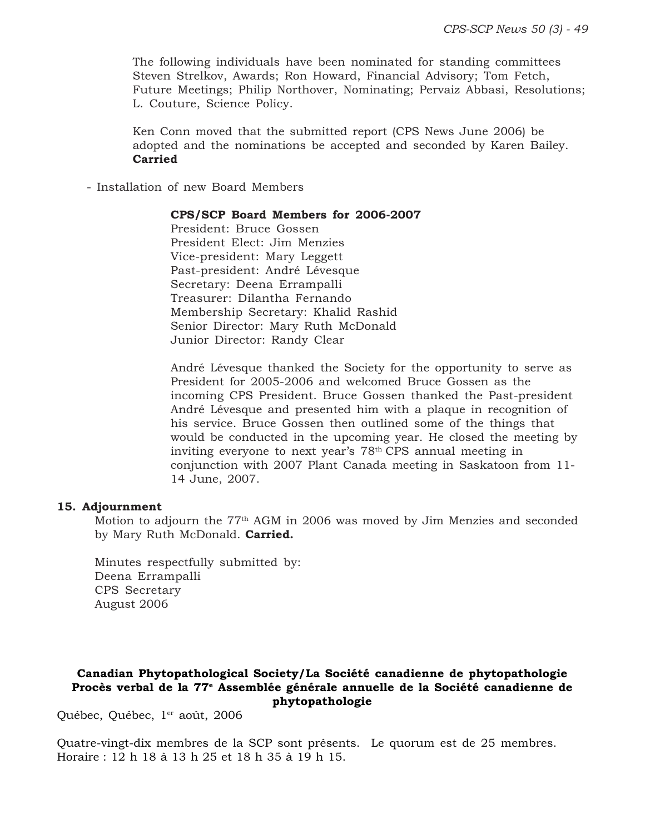The following individuals have been nominated for standing committees Steven Strelkov, Awards; Ron Howard, Financial Advisory; Tom Fetch, Future Meetings; Philip Northover, Nominating; Pervaiz Abbasi, Resolutions; L. Couture, Science Policy.

Ken Conn moved that the submitted report (CPS News June 2006) be adopted and the nominations be accepted and seconded by Karen Bailey. **Carried**

- Installation of new Board Members

#### **CPS/SCP Board Members for 2006-2007**

President: Bruce Gossen President Elect: Jim Menzies Vice-president: Mary Leggett Past-president: André Lévesque Secretary: Deena Errampalli Treasurer: Dilantha Fernando Membership Secretary: Khalid Rashid Senior Director: Mary Ruth McDonald Junior Director: Randy Clear

André Lévesque thanked the Society for the opportunity to serve as President for 2005-2006 and welcomed Bruce Gossen as the incoming CPS President. Bruce Gossen thanked the Past-president André Lévesque and presented him with a plaque in recognition of his service. Bruce Gossen then outlined some of the things that would be conducted in the upcoming year. He closed the meeting by inviting everyone to next year's 78th CPS annual meeting in conjunction with 2007 Plant Canada meeting in Saskatoon from 11- 14 June, 2007.

#### **15. Adjournment**

Motion to adjourn the 77<sup>th</sup> AGM in 2006 was moved by Jim Menzies and seconded by Mary Ruth McDonald. **Carried.**

Minutes respectfully submitted by: Deena Errampalli CPS Secretary August 2006

#### **Canadian Phytopathological Society/La Société canadienne de phytopathologie Procès verbal de la 77e Assemblée générale annuelle de la Société canadienne de phytopathologie**

Québec, Québec, 1<sup>er</sup> août, 2006

Quatre-vingt-dix membres de la SCP sont présents. Le quorum est de 25 membres. Horaire : 12 h 18 à 13 h 25 et 18 h 35 à 19 h 15.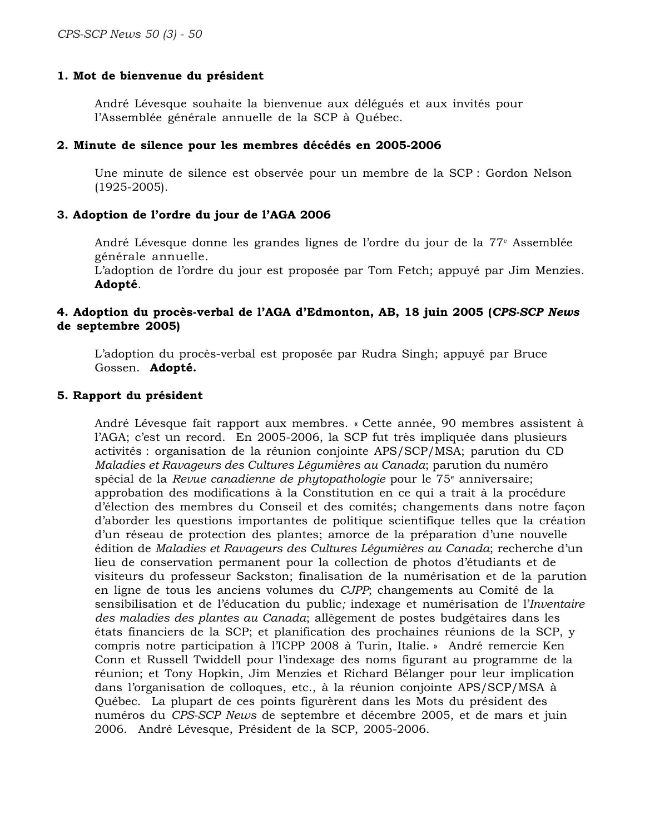#### **1. Mot de bienvenue du président**

André Lévesque souhaite la bienvenue aux délégués et aux invités pour l'Assemblée générale annuelle de la SCP à Québec.

#### **2. Minute de silence pour les membres décédés en 2005-2006**

Une minute de silence est observée pour un membre de la SCP : Gordon Nelson (1925-2005).

#### **3. Adoption de l'ordre du jour de l'AGA 2006**

André Lévesque donne les grandes lignes de l'ordre du jour de la 77e Assemblée générale annuelle.

L'adoption de l'ordre du jour est proposée par Tom Fetch; appuyé par Jim Menzies. **Adopté**.

#### **4. Adoption du procès-verbal de l'AGA d'Edmonton, AB, 18 juin 2005 (***CPS-SCP News* **de septembre 2005)**

L'adoption du procès-verbal est proposée par Rudra Singh; appuyé par Bruce Gossen. **Adopté.**

#### **5. Rapport du président**

André Lévesque fait rapport aux membres. « Cette année, 90 membres assistent à l'AGA; c'est un record. En 2005-2006, la SCP fut très impliquée dans plusieurs activités : organisation de la réunion conjointe APS/SCP/MSA; parution du CD *Maladies et Ravageurs des Cultures Légumières au Canada*; parution du numéro spécial de la *Revue canadienne de phytopathologie* pour le 75e anniversaire; approbation des modifications à la Constitution en ce qui a trait à la procédure d'élection des membres du Conseil et des comités; changements dans notre façon d'aborder les questions importantes de politique scientifique telles que la création d'un réseau de protection des plantes; amorce de la préparation d'une nouvelle édition de *Maladies et Ravageurs des Cultures Légumières au Canada*; recherche d'un lieu de conservation permanent pour la collection de photos d'étudiants et de visiteurs du professeur Sackston; finalisation de la numérisation et de la parution en ligne de tous les anciens volumes du *CJPP*; changements au Comité de la sensibilisation et de l'éducation du public*;* indexage et numérisation de l'*Inventaire des maladies des plantes au Canada*; allègement de postes budgétaires dans les états financiers de la SCP; et planification des prochaines réunions de la SCP, y compris notre participation à l'ICPP 2008 à Turin, Italie. » André remercie Ken Conn et Russell Twiddell pour l'indexage des noms figurant au programme de la réunion; et Tony Hopkin, Jim Menzies et Richard Bélanger pour leur implication dans l'organisation de colloques, etc., à la réunion conjointe APS/SCP/MSA à Québec. La plupart de ces points figurèrent dans les Mots du président des numéros du *CPS-SCP News* de septembre et décembre 2005, et de mars et juin 2006. André Lévesque, Président de la SCP, 2005-2006.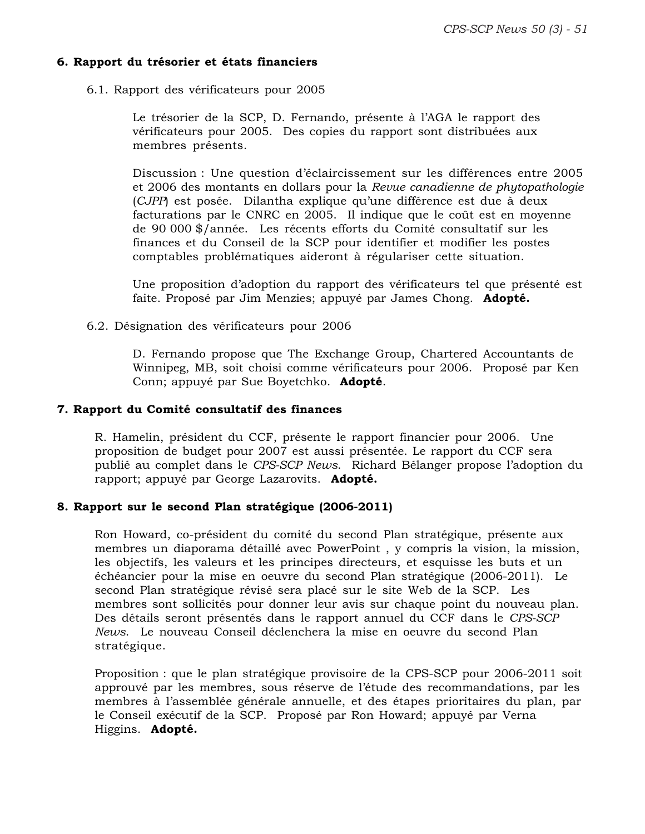#### **6. Rapport du trésorier et états financiers**

6.1. Rapport des vérificateurs pour 2005

Le trésorier de la SCP, D. Fernando, présente à l'AGA le rapport des vérificateurs pour 2005. Des copies du rapport sont distribuées aux membres présents.

Discussion : Une question d'éclaircissement sur les différences entre 2005 et 2006 des montants en dollars pour la *Revue canadienne de phytopathologie* (*CJPP*) est posée. Dilantha explique qu'une différence est due à deux facturations par le CNRC en 2005. Il indique que le coût est en moyenne de 90 000 \$/année. Les récents efforts du Comité consultatif sur les finances et du Conseil de la SCP pour identifier et modifier les postes comptables problématiques aideront à régulariser cette situation.

Une proposition d'adoption du rapport des vérificateurs tel que présenté est faite. Proposé par Jim Menzies; appuyé par James Chong. **Adopté.**

6.2. Désignation des vérificateurs pour 2006

D. Fernando propose que The Exchange Group, Chartered Accountants de Winnipeg, MB, soit choisi comme vérificateurs pour 2006. Proposé par Ken Conn; appuyé par Sue Boyetchko. **Adopté**.

#### **7. Rapport du Comité consultatif des finances**

R. Hamelin, président du CCF, présente le rapport financier pour 2006. Une proposition de budget pour 2007 est aussi présentée. Le rapport du CCF sera publié au complet dans le *CPS-SCP News*. Richard Bélanger propose l'adoption du rapport; appuyé par George Lazarovits. **Adopté.**

#### **8. Rapport sur le second Plan stratégique (2006-2011)**

Ron Howard, co-président du comité du second Plan stratégique, présente aux membres un diaporama détaillé avec PowerPoint , y compris la vision, la mission, les objectifs, les valeurs et les principes directeurs, et esquisse les buts et un échéancier pour la mise en oeuvre du second Plan stratégique (2006-2011). Le second Plan stratégique révisé sera placé sur le site Web de la SCP. Les membres sont sollicités pour donner leur avis sur chaque point du nouveau plan. Des détails seront présentés dans le rapport annuel du CCF dans le *CPS-SCP News*. Le nouveau Conseil déclenchera la mise en oeuvre du second Plan stratégique.

Proposition : que le plan stratégique provisoire de la CPS-SCP pour 2006-2011 soit approuvé par les membres, sous réserve de l'étude des recommandations, par les membres à l'assemblée générale annuelle, et des étapes prioritaires du plan, par le Conseil exécutif de la SCP. Proposé par Ron Howard; appuyé par Verna Higgins. **Adopté.**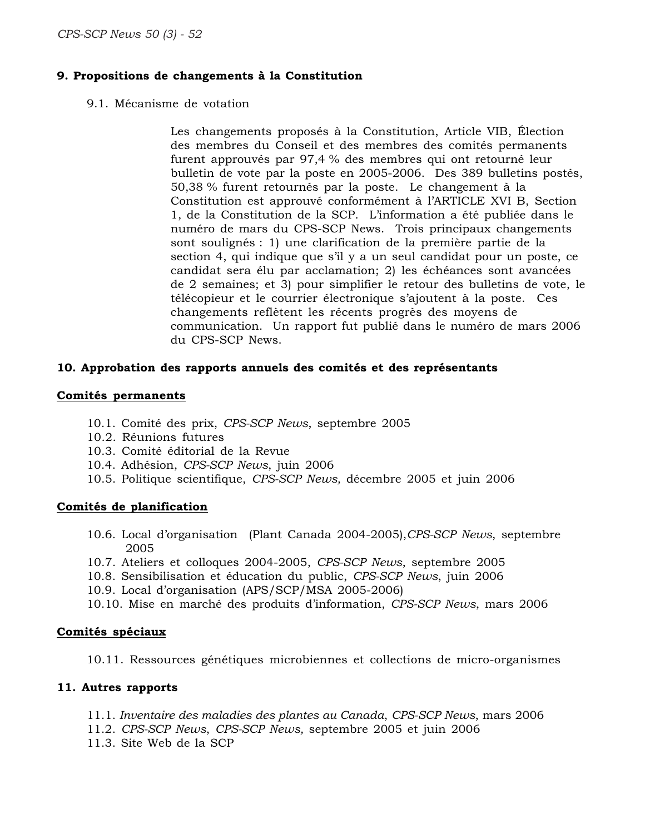#### **9. Propositions de changements à la Constitution**

9.1. Mécanisme de votation

Les changements proposés à la Constitution, Article VIB, Élection des membres du Conseil et des membres des comités permanents furent approuvés par 97,4 % des membres qui ont retourné leur bulletin de vote par la poste en 2005-2006. Des 389 bulletins postés, 50,38 % furent retournés par la poste. Le changement à la Constitution est approuvé conformément à l'ARTICLE XVI B, Section 1, de la Constitution de la SCP. L'information a été publiée dans le numéro de mars du CPS-SCP News. Trois principaux changements sont soulignés : 1) une clarification de la première partie de la section 4, qui indique que s'il y a un seul candidat pour un poste, ce candidat sera élu par acclamation; 2) les échéances sont avancées de 2 semaines; et 3) pour simplifier le retour des bulletins de vote, le télécopieur et le courrier électronique s'ajoutent à la poste. Ces changements reflètent les récents progrès des moyens de communication. Un rapport fut publié dans le numéro de mars 2006 du CPS-SCP News.

#### **10. Approbation des rapports annuels des comités et des représentants**

#### **Comités permanents**

- 10.1. Comité des prix, *CPS-SCP News*, septembre 2005
- 10.2. Réunions futures
- 10.3. Comité éditorial de la Revue
- 10.4. Adhésion, *CPS-SCP News*, juin 2006
- 10.5. Politique scientifique, *CPS-SCP News,* décembre 2005 et juin 2006

#### **Comités de planification**

- 10.6. Local d'organisation (Plant Canada 2004-2005),*CPS-SCP News*, septembre 2005
- 10.7. Ateliers et colloques 2004-2005, *CPS-SCP News*, septembre 2005
- 10.8. Sensibilisation et éducation du public, *CPS-SCP News*, juin 2006
- 10.9. Local d'organisation (APS/SCP/MSA 2005-2006)
- 10.10. Mise en marché des produits d'information, *CPS-SCP News*, mars 2006

#### **Comités spéciaux**

10.11. Ressources génétiques microbiennes et collections de micro-organismes

#### **11. Autres rapports**

- 11.1. *Inventaire des maladies des plantes au Canada*, *CPS-SCP News*, mars 2006
- 11.2. *CPS-SCP News*, *CPS-SCP News,* septembre 2005 et juin 2006
- 11.3. Site Web de la SCP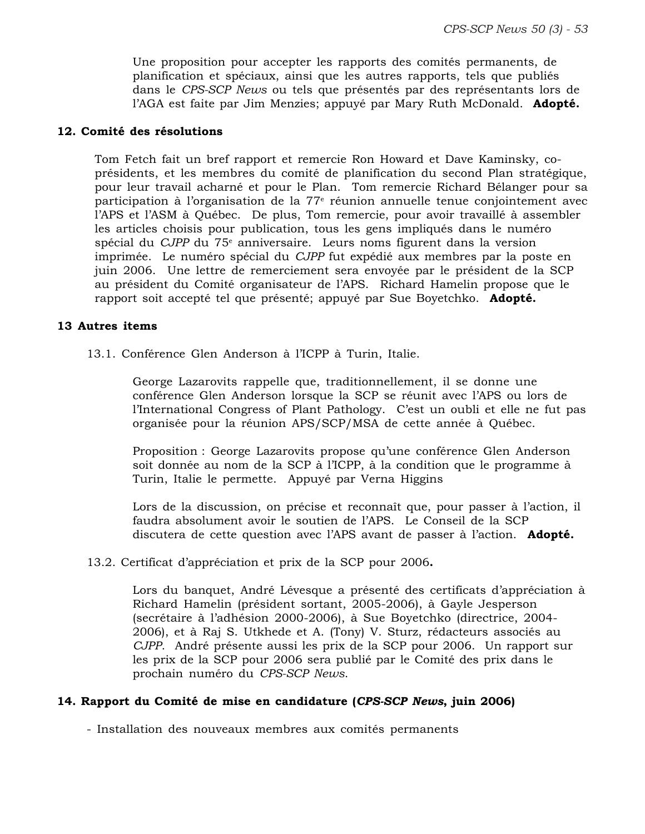Une proposition pour accepter les rapports des comités permanents, de planification et spéciaux, ainsi que les autres rapports, tels que publiés dans le *CPS-SCP News* ou tels que présentés par des représentants lors de l'AGA est faite par Jim Menzies; appuyé par Mary Ruth McDonald. **Adopté.**

#### **12. Comité des résolutions**

Tom Fetch fait un bref rapport et remercie Ron Howard et Dave Kaminsky, coprésidents, et les membres du comité de planification du second Plan stratégique, pour leur travail acharné et pour le Plan. Tom remercie Richard Bélanger pour sa participation à l'organisation de la 77<sup>e</sup> réunion annuelle tenue conjointement avec l'APS et l'ASM à Québec. De plus, Tom remercie, pour avoir travaillé à assembler les articles choisis pour publication, tous les gens impliqués dans le numéro spécial du *CJPP* du 75<sup>e</sup> anniversaire. Leurs noms figurent dans la version imprimée. Le numéro spécial du *CJPP* fut expédié aux membres par la poste en juin 2006. Une lettre de remerciement sera envoyée par le président de la SCP au président du Comité organisateur de l'APS. Richard Hamelin propose que le rapport soit accepté tel que présenté; appuyé par Sue Boyetchko. **Adopté.**

#### **13 Autres items**

13.1. Conférence Glen Anderson à l'ICPP à Turin, Italie.

George Lazarovits rappelle que, traditionnellement, il se donne une conférence Glen Anderson lorsque la SCP se réunit avec l'APS ou lors de l'International Congress of Plant Pathology. C'est un oubli et elle ne fut pas organisée pour la réunion APS/SCP/MSA de cette année à Québec.

Proposition : George Lazarovits propose qu'une conférence Glen Anderson soit donnée au nom de la SCP à l'ICPP, à la condition que le programme à Turin, Italie le permette. Appuyé par Verna Higgins

Lors de la discussion, on précise et reconnaît que, pour passer à l'action, il faudra absolument avoir le soutien de l'APS. Le Conseil de la SCP discutera de cette question avec l'APS avant de passer à l'action. **Adopté.**

13.2. Certificat d'appréciation et prix de la SCP pour 2006**.**

Lors du banquet, André Lévesque a présenté des certificats d'appréciation à Richard Hamelin (président sortant, 2005-2006), à Gayle Jesperson (secrétaire à l'adhésion 2000-2006), à Sue Boyetchko (directrice, 2004- 2006), et à Raj S. Utkhede et A. (Tony) V. Sturz, rédacteurs associés au *CJPP*. André présente aussi les prix de la SCP pour 2006. Un rapport sur les prix de la SCP pour 2006 sera publié par le Comité des prix dans le prochain numéro du *CPS-SCP News*.

#### **14. Rapport du Comité de mise en candidature (***CPS-SCP News***, juin 2006)**

- Installation des nouveaux membres aux comités permanents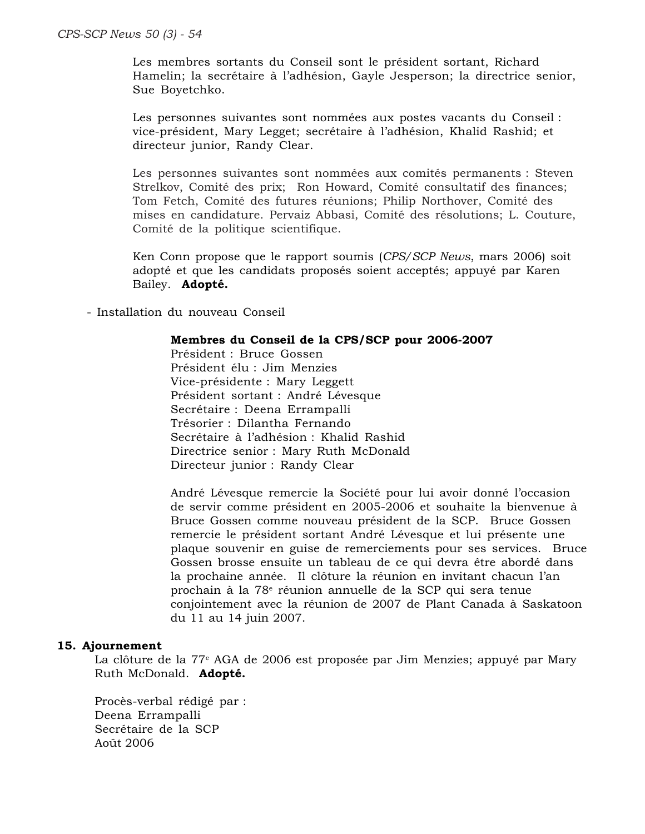Les membres sortants du Conseil sont le président sortant, Richard Hamelin; la secrétaire à l'adhésion, Gayle Jesperson; la directrice senior, Sue Boyetchko.

Les personnes suivantes sont nommées aux postes vacants du Conseil : vice-président, Mary Legget; secrétaire à l'adhésion, Khalid Rashid; et directeur junior, Randy Clear.

Les personnes suivantes sont nommées aux comités permanents : Steven Strelkov, Comité des prix; Ron Howard, Comité consultatif des finances; Tom Fetch, Comité des futures réunions; Philip Northover, Comité des mises en candidature. Pervaiz Abbasi, Comité des résolutions; L. Couture, Comité de la politique scientifique.

Ken Conn propose que le rapport soumis (*CPS/SCP News*, mars 2006) soit adopté et que les candidats proposés soient acceptés; appuyé par Karen Bailey. **Adopté.**

- Installation du nouveau Conseil

#### **Membres du Conseil de la CPS/SCP pour 2006-2007**

Président : Bruce Gossen Président élu : Jim Menzies Vice-présidente : Mary Leggett Président sortant : André Lévesque Secrétaire : Deena Errampalli Trésorier : Dilantha Fernando Secrétaire à l'adhésion : Khalid Rashid Directrice senior : Mary Ruth McDonald Directeur junior : Randy Clear

André Lévesque remercie la Société pour lui avoir donné l'occasion de servir comme président en 2005-2006 et souhaite la bienvenue à Bruce Gossen comme nouveau président de la SCP. Bruce Gossen remercie le président sortant André Lévesque et lui présente une plaque souvenir en guise de remerciements pour ses services. Bruce Gossen brosse ensuite un tableau de ce qui devra être abordé dans la prochaine année. Il clôture la réunion en invitant chacun l'an prochain à la 78<sup>e</sup> réunion annuelle de la SCP qui sera tenue conjointement avec la réunion de 2007 de Plant Canada à Saskatoon du 11 au 14 juin 2007.

#### **15. Ajournement**

La clôture de la 77<sup>e</sup> AGA de 2006 est proposée par Jim Menzies; appuyé par Mary Ruth McDonald. **Adopté.**

Procès-verbal rédigé par : Deena Errampalli Secrétaire de la SCP Août 2006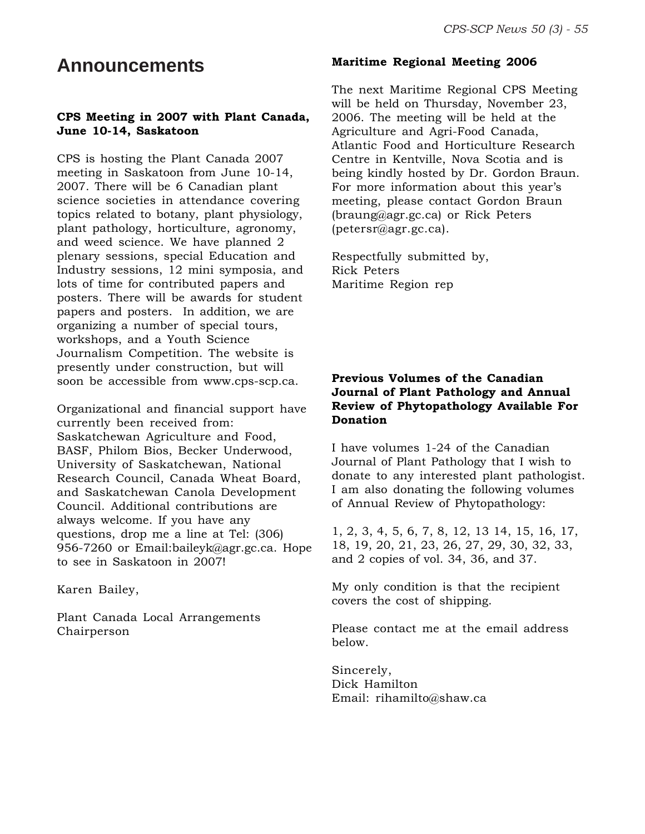### **Announcements**

#### **CPS Meeting in 2007 with Plant Canada, June 10-14, Saskatoon**

CPS is hosting the Plant Canada 2007 meeting in Saskatoon from June 10-14, 2007. There will be 6 Canadian plant science societies in attendance covering topics related to botany, plant physiology, plant pathology, horticulture, agronomy, and weed science. We have planned 2 plenary sessions, special Education and Industry sessions, 12 mini symposia, and lots of time for contributed papers and posters. There will be awards for student papers and posters. In addition, we are organizing a number of special tours, workshops, and a Youth Science Journalism Competition. The website is presently under construction, but will soon be accessible from www.cps-scp.ca.

Organizational and financial support have currently been received from: Saskatchewan Agriculture and Food, BASF, Philom Bios, Becker Underwood, University of Saskatchewan, National Research Council, Canada Wheat Board, and Saskatchewan Canola Development Council. Additional contributions are always welcome. If you have any questions, drop me a line at Tel: (306) 956-7260 or Email:baileyk@agr.gc.ca. Hope to see in Saskatoon in 2007!

Karen Bailey,

Plant Canada Local Arrangements Chairperson

#### **Maritime Regional Meeting 2006**

The next Maritime Regional CPS Meeting will be held on Thursday, November 23, 2006. The meeting will be held at the Agriculture and Agri-Food Canada, Atlantic Food and Horticulture Research Centre in Kentville, Nova Scotia and is being kindly hosted by Dr. Gordon Braun. For more information about this year's meeting, please contact Gordon Braun (braung@agr.gc.ca) or Rick Peters (petersr@agr.gc.ca).

Respectfully submitted by, Rick Peters Maritime Region rep

#### **Previous Volumes of the Canadian Journal of Plant Pathology and Annual Review of Phytopathology Available For Donation**

I have volumes 1-24 of the Canadian Journal of Plant Pathology that I wish to donate to any interested plant pathologist. I am also donating the following volumes of Annual Review of Phytopathology:

1, 2, 3, 4, 5, 6, 7, 8, 12, 13 14, 15, 16, 17, 18, 19, 20, 21, 23, 26, 27, 29, 30, 32, 33, and 2 copies of vol. 34, 36, and 37.

My only condition is that the recipient covers the cost of shipping.

Please contact me at the email address below.

Sincerely, Dick Hamilton Email: rihamilto@shaw.ca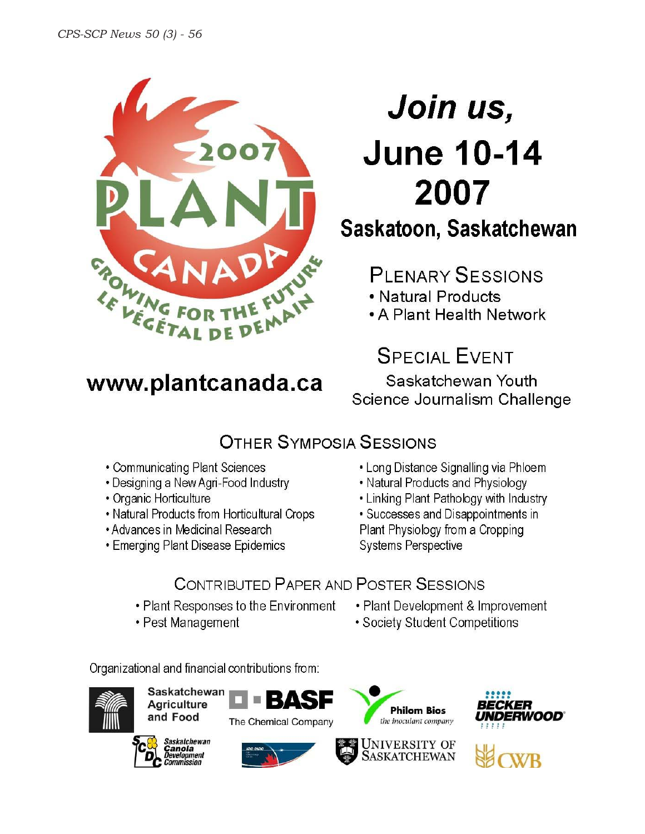

# Join us, **June 10-14** 2007

# Saskatoon, Saskatchewan

# **PI FNARY SESSIONS**

- Natural Products
- A Plant Health Network

# **SPECIAL EVENT**

Saskatchewan Youth Science Journalism Challenge

# **OTHER SYMPOSIA SESSIONS**

- Communicating Plant Sciences
- Designing a New Agri-Food Industry

www.plantcanada.ca

- Organic Horticulture
- Natural Products from Horticultural Crops
- Advances in Medicinal Research
- Emerging Plant Disease Epidemics
- Long Distance Signalling via Phloem
- Natural Products and Physiology
- Linking Plant Pathology with Industry
- Successes and Disappointments in Plant Physiology from a Cropping **Systems Perspective**

# **CONTRIBUTED PAPER AND POSTER SESSIONS**

- Plant Responses to the Environment
- Pest Management
- Plant Development & Improvement
- Society Student Competitions

Organizational and financial contributions from:



Saskatchewan **Agriculture** and Food





The Chemical Company

В



ASKATCHEWAN



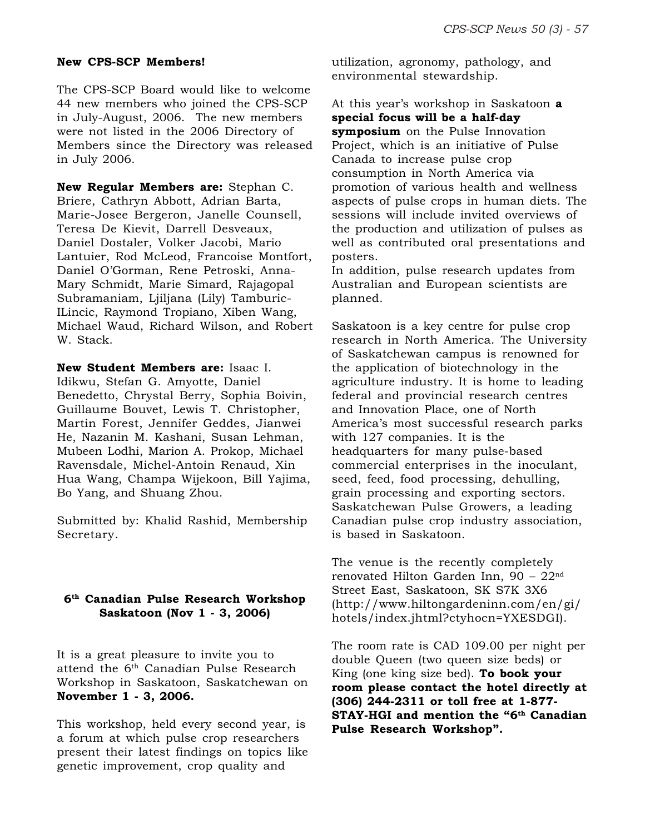#### **New CPS-SCP Members!**

The CPS-SCP Board would like to welcome 44 new members who joined the CPS-SCP in July-August, 2006. The new members were not listed in the 2006 Directory of Members since the Directory was released in July 2006.

**New Regular Members are:** Stephan C. Briere, Cathryn Abbott, Adrian Barta, Marie-Josee Bergeron, Janelle Counsell, Teresa De Kievit, Darrell Desveaux, Daniel Dostaler, Volker Jacobi, Mario Lantuier, Rod McLeod, Francoise Montfort, Daniel O'Gorman, Rene Petroski, Anna-Mary Schmidt, Marie Simard, Rajagopal Subramaniam, Ljiljana (Lily) Tamburic-ILincic, Raymond Tropiano, Xiben Wang, Michael Waud, Richard Wilson, and Robert W. Stack.

**New Student Members are:** Isaac I. Idikwu, Stefan G. Amyotte, Daniel Benedetto, Chrystal Berry, Sophia Boivin, Guillaume Bouvet, Lewis T. Christopher, Martin Forest, Jennifer Geddes, Jianwei He, Nazanin M. Kashani, Susan Lehman, Mubeen Lodhi, Marion A. Prokop, Michael Ravensdale, Michel-Antoin Renaud, Xin Hua Wang, Champa Wijekoon, Bill Yajima, Bo Yang, and Shuang Zhou.

Submitted by: Khalid Rashid, Membership Secretary.

#### **6th Canadian Pulse Research Workshop Saskatoon (Nov 1 - 3, 2006)**

It is a great pleasure to invite you to attend the 6th Canadian Pulse Research Workshop in Saskatoon, Saskatchewan on **November 1 - 3, 2006.**

This workshop, held every second year, is a forum at which pulse crop researchers present their latest findings on topics like genetic improvement, crop quality and

utilization, agronomy, pathology, and environmental stewardship.

At this year's workshop in Saskatoon **a special focus will be a half-day symposium** on the Pulse Innovation Project, which is an initiative of Pulse Canada to increase pulse crop consumption in North America via promotion of various health and wellness aspects of pulse crops in human diets. The sessions will include invited overviews of the production and utilization of pulses as well as contributed oral presentations and posters.

In addition, pulse research updates from Australian and European scientists are planned.

Saskatoon is a key centre for pulse crop research in North America. The University of Saskatchewan campus is renowned for the application of biotechnology in the agriculture industry. It is home to leading federal and provincial research centres and Innovation Place, one of North America's most successful research parks with 127 companies. It is the headquarters for many pulse-based commercial enterprises in the inoculant, seed, feed, food processing, dehulling, grain processing and exporting sectors. Saskatchewan Pulse Growers, a leading Canadian pulse crop industry association, is based in Saskatoon.

The venue is the recently completely renovated Hilton Garden Inn,  $90 - 22<sup>nd</sup>$ Street East, Saskatoon, SK S7K 3X6 (http://www.hiltongardeninn.com/en/gi/ hotels/index.jhtml?ctyhocn=YXESDGI).

The room rate is CAD 109.00 per night per double Queen (two queen size beds) or King (one king size bed). **To book your room please contact the hotel directly at (306) 244-2311 or toll free at 1-877- STAY-HGI and mention the "6th Canadian Pulse Research Workshop".**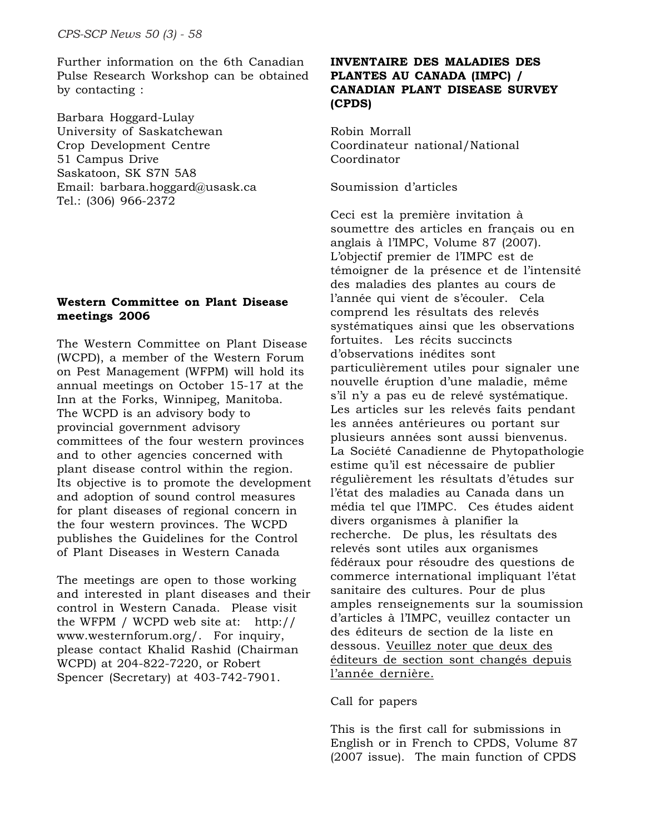Further information on the 6th Canadian Pulse Research Workshop can be obtained by contacting :

Barbara Hoggard-Lulay University of Saskatchewan Crop Development Centre 51 Campus Drive Saskatoon, SK S7N 5A8 Email: barbara.hoggard@usask.ca Tel.: (306) 966-2372

#### **Western Committee on Plant Disease meetings 2006**

The Western Committee on Plant Disease (WCPD), a member of the Western Forum on Pest Management (WFPM) will hold its annual meetings on October 15-17 at the Inn at the Forks, Winnipeg, Manitoba. The WCPD is an advisory body to provincial government advisory committees of the four western provinces and to other agencies concerned with plant disease control within the region. Its objective is to promote the development and adoption of sound control measures for plant diseases of regional concern in the four western provinces. The WCPD publishes the Guidelines for the Control of Plant Diseases in Western Canada

The meetings are open to those working and interested in plant diseases and their control in Western Canada. Please visit the WFPM / WCPD web site at: http:// www.westernforum.org/. For inquiry, please contact Khalid Rashid (Chairman WCPD) at 204-822-7220, or Robert Spencer (Secretary) at 403-742-7901.

#### **INVENTAIRE DES MALADIES DES PLANTES AU CANADA (IMPC) / CANADIAN PLANT DISEASE SURVEY (CPDS)**

Robin Morrall Coordinateur national/National Coordinator

Soumission d'articles

Ceci est la première invitation à soumettre des articles en français ou en anglais à l'IMPC, Volume 87 (2007). L'objectif premier de l'IMPC est de témoigner de la présence et de l'intensité des maladies des plantes au cours de l'année qui vient de s'écouler. Cela comprend les résultats des relevés systématiques ainsi que les observations fortuites. Les récits succincts d'observations inédites sont particulièrement utiles pour signaler une nouvelle éruption d'une maladie, même s'il n'y a pas eu de relevé systématique. Les articles sur les relevés faits pendant les années antérieures ou portant sur plusieurs années sont aussi bienvenus. La Société Canadienne de Phytopathologie estime qu'il est nécessaire de publier régulièrement les résultats d'études sur l'état des maladies au Canada dans un média tel que l'IMPC. Ces études aident divers organismes à planifier la recherche. De plus, les résultats des relevés sont utiles aux organismes fédéraux pour résoudre des questions de commerce international impliquant l'état sanitaire des cultures. Pour de plus amples renseignements sur la soumission d'articles à l'IMPC, veuillez contacter un des éditeurs de section de la liste en dessous. Veuillez noter que deux des éditeurs de section sont changés depuis l'année dernière.

#### Call for papers

This is the first call for submissions in English or in French to CPDS, Volume 87 (2007 issue). The main function of CPDS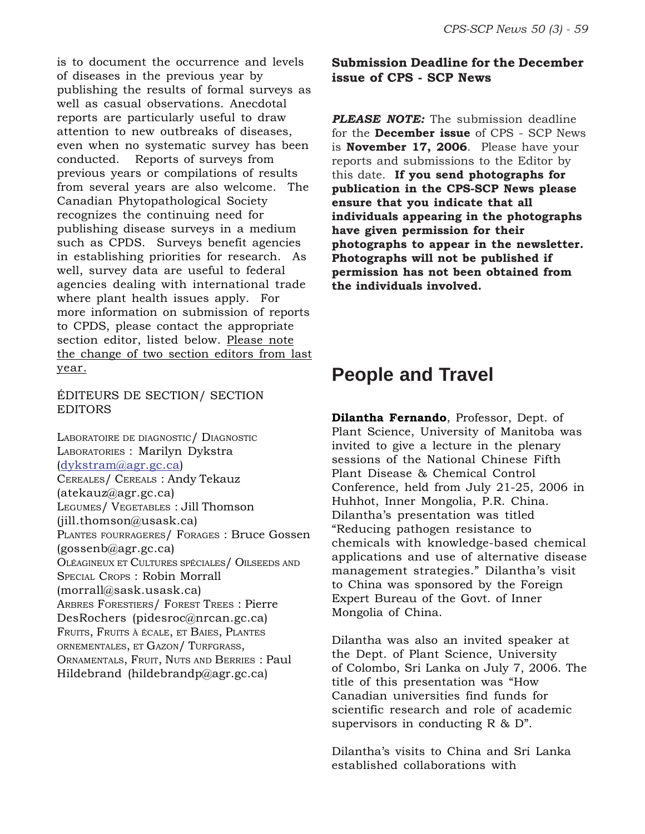is to document the occurrence and levels of diseases in the previous year by publishing the results of formal surveys as well as casual observations. Anecdotal reports are particularly useful to draw attention to new outbreaks of diseases, even when no systematic survey has been conducted. Reports of surveys from previous years or compilations of results from several years are also welcome. The Canadian Phytopathological Society recognizes the continuing need for publishing disease surveys in a medium such as CPDS. Surveys benefit agencies in establishing priorities for research. As well, survey data are useful to federal agencies dealing with international trade where plant health issues apply. For more information on submission of reports to CPDS, please contact the appropriate section editor, listed below. Please note the change of two section editors from last year.

#### ÉDITEURS DE SECTION/ SECTION EDITORS

LABORATOIRE DE DIAGNOSTIC/ DIAGNOSTIC LABORATORIES : Marilyn Dykstra (dykstram@agr.gc.ca) CEREALES/ CEREALS : Andy Tekauz (atekauz@agr.gc.ca) LEGUMES/ VEGETABLES : Jill Thomson (jill.thomson@usask.ca) PLANTES FOURRAGERES/ FORAGES : Bruce Gossen (gossenb@agr.gc.ca) OLÉAGINEUX ET CULTURES SPÉCIALES/ OILSEEDS AND SPECIAL CROPS : Robin Morrall (morrall@sask.usask.ca) ARBRES FORESTIERS/ FOREST TREES : Pierre DesRochers (pidesroc@nrcan.gc.ca) FRUITS, FRUITS <sup>À</sup> ÉCALE, ET BAIES, PLANTES ORNEMENTALES, ET GAZON/ TURFGRASS, ORNAMENTALS, FRUIT, NUTS AND BERRIES : Paul Hildebrand (hildebrandp@agr.gc.ca)

#### **Submission Deadline for the December issue of CPS - SCP News**

*PLEASE NOTE:* The submission deadline for the **December issue** of CPS - SCP News is **November 17, 2006**. Please have your reports and submissions to the Editor by this date. **If you send photographs for publication in the CPS-SCP News please ensure that you indicate that all individuals appearing in the photographs have given permission for their photographs to appear in the newsletter. Photographs will not be published if permission has not been obtained from the individuals involved.**

### **People and Travel**

**Dilantha Fernando**, Professor, Dept. of Plant Science, University of Manitoba was invited to give a lecture in the plenary sessions of the National Chinese Fifth Plant Disease & Chemical Control Conference, held from July 21-25, 2006 in Huhhot, Inner Mongolia, P.R. China. Dilantha's presentation was titled "Reducing pathogen resistance to chemicals with knowledge-based chemical applications and use of alternative disease management strategies." Dilantha's visit to China was sponsored by the Foreign Expert Bureau of the Govt. of Inner Mongolia of China.

Dilantha was also an invited speaker at the Dept. of Plant Science, University of Colombo, Sri Lanka on July 7, 2006. The title of this presentation was "How Canadian universities find funds for scientific research and role of academic supervisors in conducting R & D".

Dilantha's visits to China and Sri Lanka established collaborations with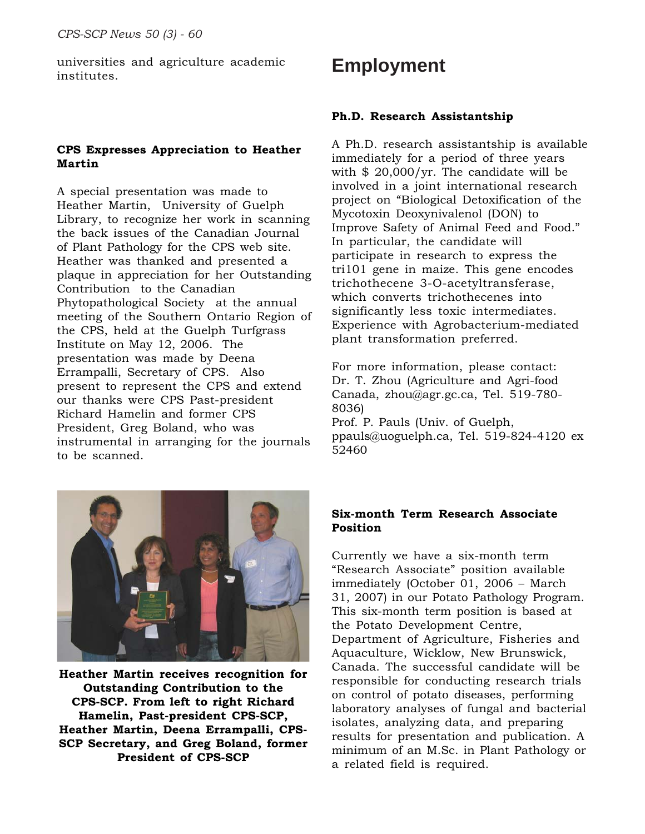universities and agriculture academic institutes.

#### **CPS Expresses Appreciation to Heather Martin**

A special presentation was made to Heather Martin, University of Guelph Library, to recognize her work in scanning the back issues of the Canadian Journal of Plant Pathology for the CPS web site. Heather was thanked and presented a plaque in appreciation for her Outstanding Contribution to the Canadian Phytopathological Society at the annual meeting of the Southern Ontario Region of the CPS, held at the Guelph Turfgrass Institute on May 12, 2006. The presentation was made by Deena Errampalli, Secretary of CPS. Also present to represent the CPS and extend our thanks were CPS Past-president Richard Hamelin and former CPS President, Greg Boland, who was instrumental in arranging for the journals to be scanned.

# **Employment**

#### **Ph.D. Research Assistantship**

A Ph.D. research assistantship is available immediately for a period of three years with \$ 20,000/yr. The candidate will be involved in a joint international research project on "Biological Detoxification of the Mycotoxin Deoxynivalenol (DON) to Improve Safety of Animal Feed and Food." In particular, the candidate will participate in research to express the tri101 gene in maize. This gene encodes trichothecene 3-O-acetyltransferase, which converts trichothecenes into significantly less toxic intermediates. Experience with Agrobacterium-mediated plant transformation preferred.

For more information, please contact: Dr. T. Zhou (Agriculture and Agri-food Canada, zhou@agr.gc.ca, Tel. 519-780- 8036)

Prof. P. Pauls (Univ. of Guelph, ppauls@uoguelph.ca, Tel. 519-824-4120 ex 52460



**Heather Martin receives recognition for Outstanding Contribution to the CPS-SCP. From left to right Richard Hamelin, Past-president CPS-SCP, Heather Martin, Deena Errampalli, CPS-SCP Secretary, and Greg Boland, former President of CPS-SCP**

#### **Six-month Term Research Associate Position**

Currently we have a six-month term "Research Associate" position available immediately (October 01, 2006 – March 31, 2007) in our Potato Pathology Program. This six-month term position is based at the Potato Development Centre, Department of Agriculture, Fisheries and Aquaculture, Wicklow, New Brunswick, Canada. The successful candidate will be responsible for conducting research trials on control of potato diseases, performing laboratory analyses of fungal and bacterial isolates, analyzing data, and preparing results for presentation and publication. A minimum of an M.Sc. in Plant Pathology or a related field is required.